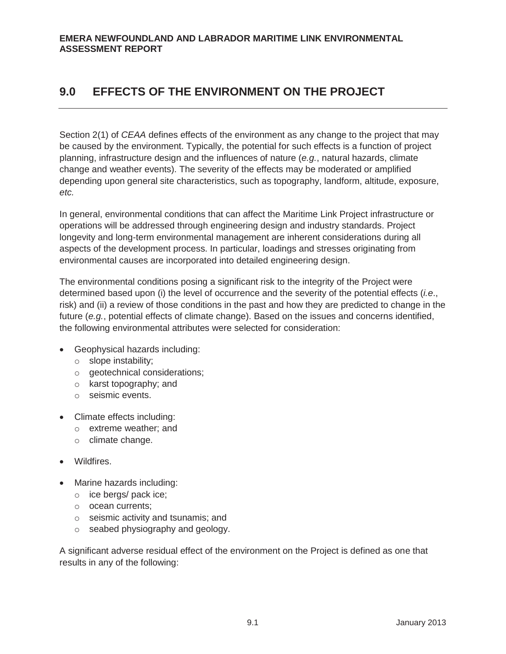Section 2(1) of *CEAA* defines effects of the environment as any change to the project that may be caused by the environment. Typically, the potential for such effects is a function of project planning, infrastructure design and the influences of nature (*e.g.*, natural hazards, climate change and weather events). The severity of the effects may be moderated or amplified depending upon general site characteristics, such as topography, landform, altitude, exposure, *etc.*

In general, environmental conditions that can affect the Maritime Link Project infrastructure or operations will be addressed through engineering design and industry standards. Project longevity and long-term environmental management are inherent considerations during all aspects of the development process. In particular, loadings and stresses originating from environmental causes are incorporated into detailed engineering design.

The environmental conditions posing a significant risk to the integrity of the Project were determined based upon (i) the level of occurrence and the severity of the potential effects (*i.e*., risk) and (ii) a review of those conditions in the past and how they are predicted to change in the future (*e.g.*, potential effects of climate change). Based on the issues and concerns identified, the following environmental attributes were selected for consideration:

- Geophysical hazards including:
	- o slope instability;
	- o geotechnical considerations;
	- o karst topography; and
	- o seismic events.
- Climate effects including:
	- o extreme weather; and
	- o climate change.
- Wildfires.
- Marine hazards including:
	- o ice bergs/ pack ice;
	- o ocean currents;
	- o seismic activity and tsunamis; and
	- o seabed physiography and geology.

A significant adverse residual effect of the environment on the Project is defined as one that results in any of the following: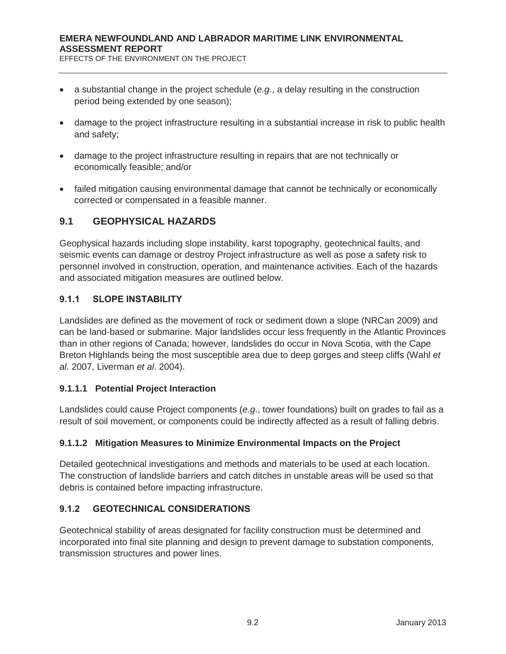- x a substantial change in the project schedule (*e.g.*, a delay resulting in the construction period being extended by one season);
- damage to the project infrastructure resulting in a substantial increase in risk to public health and safety;
- damage to the project infrastructure resulting in repairs that are not technically or economically feasible; and/or
- failed mitigation causing environmental damage that cannot be technically or economically corrected or compensated in a feasible manner.

# **9.1 GEOPHYSICAL HAZARDS**

Geophysical hazards including slope instability, karst topography, geotechnical faults, and seismic events can damage or destroy Project infrastructure as well as pose a safety risk to personnel involved in construction, operation, and maintenance activities. Each of the hazards and associated mitigation measures are outlined below.

## **9.1.1 SLOPE INSTABILITY**

Landslides are defined as the movement of rock or sediment down a slope (NRCan 2009) and can be land-based or submarine. Major landslides occur less frequently in the Atlantic Provinces than in other regions of Canada; however, landslides do occur in Nova Scotia, with the Cape Breton Highlands being the most susceptible area due to deep gorges and steep cliffs (Wahl *et al*. 2007, Liverman *et al*. 2004).

#### **9.1.1.1 Potential Project Interaction**

Landslides could cause Project components (*e.g*., tower foundations) built on grades to fail as a result of soil movement, or components could be indirectly affected as a result of falling debris.

#### **9.1.1.2 Mitigation Measures to Minimize Environmental Impacts on the Project**

Detailed geotechnical investigations and methods and materials to be used at each location. The construction of landslide barriers and catch ditches in unstable areas will be used so that debris is contained before impacting infrastructure.

# **9.1.2 GEOTECHNICAL CONSIDERATIONS**

Geotechnical stability of areas designated for facility construction must be determined and incorporated into final site planning and design to prevent damage to substation components, transmission structures and power lines.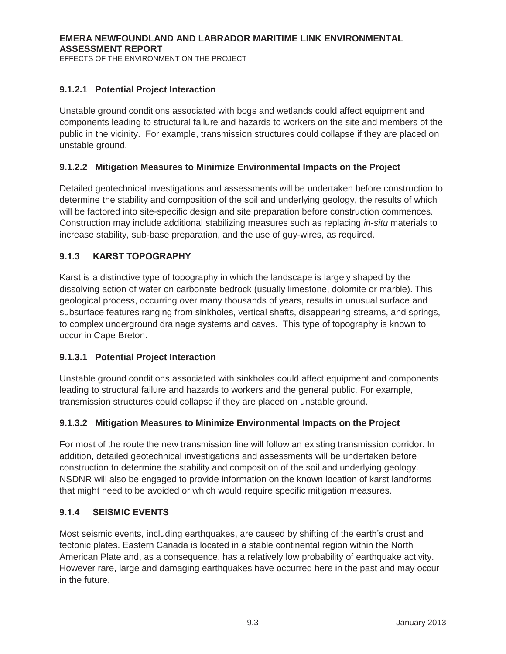## **9.1.2.1 Potential Project Interaction**

Unstable ground conditions associated with bogs and wetlands could affect equipment and components leading to structural failure and hazards to workers on the site and members of the public in the vicinity. For example, transmission structures could collapse if they are placed on unstable ground.

## **9.1.2.2 Mitigation Measures to Minimize Environmental Impacts on the Project**

Detailed geotechnical investigations and assessments will be undertaken before construction to determine the stability and composition of the soil and underlying geology, the results of which will be factored into site-specific design and site preparation before construction commences. Construction may include additional stabilizing measures such as replacing *in-situ* materials to increase stability, sub-base preparation, and the use of guy-wires, as required.

# **9.1.3 KARST TOPOGRAPHY**

Karst is a distinctive type of topography in which the landscape is largely shaped by the dissolving action of water on carbonate bedrock (usually limestone, dolomite or marble). This geological process, occurring over many thousands of years, results in unusual surface and subsurface features ranging from sinkholes, vertical shafts, disappearing streams, and springs, to complex underground drainage systems and caves. This type of topography is known to occur in Cape Breton.

#### **9.1.3.1 Potential Project Interaction**

Unstable ground conditions associated with sinkholes could affect equipment and components leading to structural failure and hazards to workers and the general public. For example, transmission structures could collapse if they are placed on unstable ground.

#### **9.1.3.2 Mitigation Meas**u**res to Minimize Environmental Impacts on the Project**

For most of the route the new transmission line will follow an existing transmission corridor. In addition, detailed geotechnical investigations and assessments will be undertaken before construction to determine the stability and composition of the soil and underlying geology. NSDNR will also be engaged to provide information on the known location of karst landforms that might need to be avoided or which would require specific mitigation measures.

#### **9.1.4 SEISMIC EVENTS**

Most seismic events, including earthquakes, are caused by shifting of the earth's crust and tectonic plates. Eastern Canada is located in a stable continental region within the North American Plate and, as a consequence, has a relatively low probability of earthquake activity. However rare, large and damaging earthquakes have occurred here in the past and may occur in the future.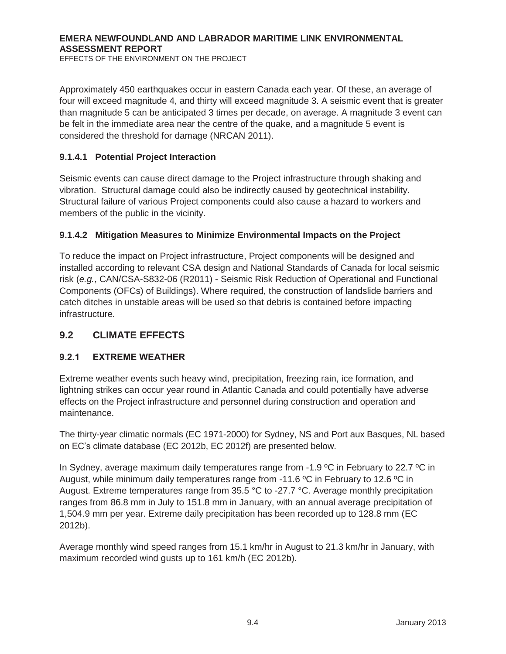Approximately 450 earthquakes occur in eastern Canada each year. Of these, an average of four will exceed magnitude 4, and thirty will exceed magnitude 3. A seismic event that is greater than magnitude 5 can be anticipated 3 times per decade, on average. A magnitude 3 event can be felt in the immediate area near the centre of the quake, and a magnitude 5 event is considered the threshold for damage (NRCAN 2011).

#### **9.1.4.1 Potential Project Interaction**

Seismic events can cause direct damage to the Project infrastructure through shaking and vibration. Structural damage could also be indirectly caused by geotechnical instability. Structural failure of various Project components could also cause a hazard to workers and members of the public in the vicinity.

#### **9.1.4.2 Mitigation Measures to Minimize Environmental Impacts on the Project**

To reduce the impact on Project infrastructure, Project components will be designed and installed according to relevant CSA design and National Standards of Canada for local seismic risk (*e.g.*, CAN/CSA-S832-06 (R2011) - Seismic Risk Reduction of Operational and Functional Components (OFCs) of Buildings). Where required, the construction of landslide barriers and catch ditches in unstable areas will be used so that debris is contained before impacting infrastructure.

# **9.2 CLIMATE EFFECTS**

# **9.2.1 EXTREME WEATHER**

Extreme weather events such heavy wind, precipitation, freezing rain, ice formation, and lightning strikes can occur year round in Atlantic Canada and could potentially have adverse effects on the Project infrastructure and personnel during construction and operation and maintenance.

The thirty-year climatic normals (EC 1971-2000) for Sydney, NS and Port aux Basques, NL based on EC's climate database (EC 2012b, EC 2012f) are presented below.

In Sydney, average maximum daily temperatures range from -1.9 °C in February to 22.7 °C in August, while minimum daily temperatures range from -11.6 ºC in February to 12.6 ºC in August. Extreme temperatures range from 35.5 °C to -27.7 °C. Average monthly precipitation ranges from 86.8 mm in July to 151.8 mm in January, with an annual average precipitation of 1,504.9 mm per year. Extreme daily precipitation has been recorded up to 128.8 mm (EC 2012b).

Average monthly wind speed ranges from 15.1 km/hr in August to 21.3 km/hr in January, with maximum recorded wind gusts up to 161 km/h (EC 2012b).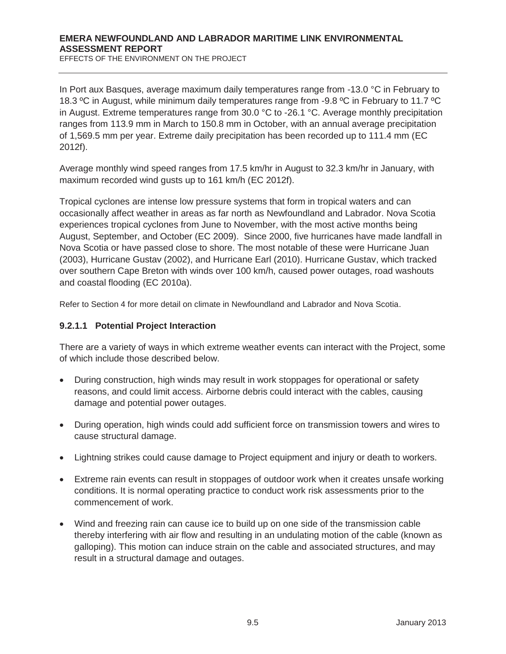EFFECTS OF THE ENVIRONMENT ON THE PROJECT

In Port aux Basques, average maximum daily temperatures range from -13.0 °C in February to 18.3 ºC in August, while minimum daily temperatures range from -9.8 ºC in February to 11.7 ºC in August. Extreme temperatures range from 30.0 °C to -26.1 °C. Average monthly precipitation ranges from 113.9 mm in March to 150.8 mm in October, with an annual average precipitation of 1,569.5 mm per year. Extreme daily precipitation has been recorded up to 111.4 mm (EC 2012f).

Average monthly wind speed ranges from 17.5 km/hr in August to 32.3 km/hr in January, with maximum recorded wind gusts up to 161 km/h (EC 2012f).

Tropical cyclones are intense low pressure systems that form in tropical waters and can occasionally affect weather in areas as far north as Newfoundland and Labrador. Nova Scotia experiences tropical cyclones from June to November, with the most active months being August, September, and October (EC 2009). Since 2000, five hurricanes have made landfall in Nova Scotia or have passed close to shore. The most notable of these were Hurricane Juan (2003), Hurricane Gustav (2002), and Hurricane Earl (2010). Hurricane Gustav, which tracked over southern Cape Breton with winds over 100 km/h, caused power outages, road washouts and coastal flooding (EC 2010a).

Refer to Section 4 for more detail on climate in Newfoundland and Labrador and Nova Scotia.

#### **9.2.1.1 Potential Project Interaction**

There are a variety of ways in which extreme weather events can interact with the Project, some of which include those described below.

- During construction, high winds may result in work stoppages for operational or safety reasons, and could limit access. Airborne debris could interact with the cables, causing damage and potential power outages.
- During operation, high winds could add sufficient force on transmission towers and wires to cause structural damage.
- Lightning strikes could cause damage to Project equipment and injury or death to workers.
- Extreme rain events can result in stoppages of outdoor work when it creates unsafe working conditions. It is normal operating practice to conduct work risk assessments prior to the commencement of work.
- Wind and freezing rain can cause ice to build up on one side of the transmission cable thereby interfering with air flow and resulting in an undulating motion of the cable (known as galloping). This motion can induce strain on the cable and associated structures, and may result in a structural damage and outages.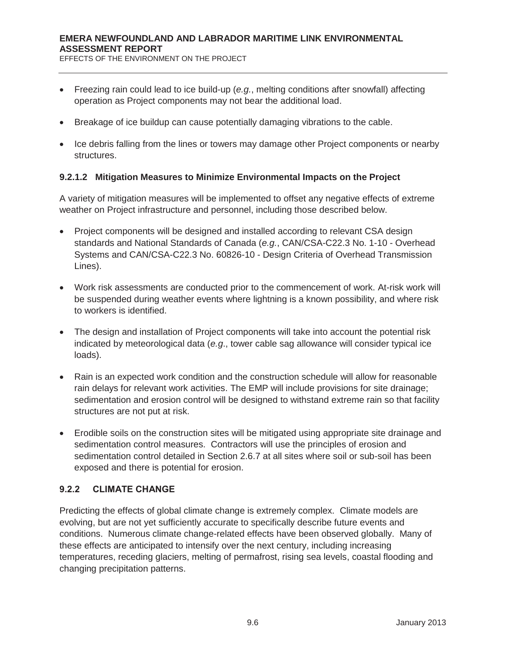EFFECTS OF THE ENVIRONMENT ON THE PROJECT

- x Freezing rain could lead to ice build-up (*e.g.*, melting conditions after snowfall) affecting operation as Project components may not bear the additional load.
- Breakage of ice buildup can cause potentially damaging vibrations to the cable.
- Ice debris falling from the lines or towers may damage other Project components or nearby structures.

#### **9.2.1.2 Mitigation Measures to Minimize Environmental Impacts on the Project**

A variety of mitigation measures will be implemented to offset any negative effects of extreme weather on Project infrastructure and personnel, including those described below.

- Project components will be designed and installed according to relevant CSA design standards and National Standards of Canada (*e.g.*, CAN/CSA-C22.3 No. 1-10 - Overhead Systems and CAN/CSA-C22.3 No. 60826-10 - Design Criteria of Overhead Transmission Lines).
- Work risk assessments are conducted prior to the commencement of work. At-risk work will be suspended during weather events where lightning is a known possibility, and where risk to workers is identified.
- The design and installation of Project components will take into account the potential risk indicated by meteorological data (*e.g*., tower cable sag allowance will consider typical ice loads).
- Rain is an expected work condition and the construction schedule will allow for reasonable rain delays for relevant work activities. The EMP will include provisions for site drainage; sedimentation and erosion control will be designed to withstand extreme rain so that facility structures are not put at risk.
- Erodible soils on the construction sites will be mitigated using appropriate site drainage and sedimentation control measures. Contractors will use the principles of erosion and sedimentation control detailed in Section 2.6.7 at all sites where soil or sub-soil has been exposed and there is potential for erosion.

#### **9.2.2 CLIMATE CHANGE**

Predicting the effects of global climate change is extremely complex. Climate models are evolving, but are not yet sufficiently accurate to specifically describe future events and conditions. Numerous climate change-related effects have been observed globally. Many of these effects are anticipated to intensify over the next century, including increasing temperatures, receding glaciers, melting of permafrost, rising sea levels, coastal flooding and changing precipitation patterns.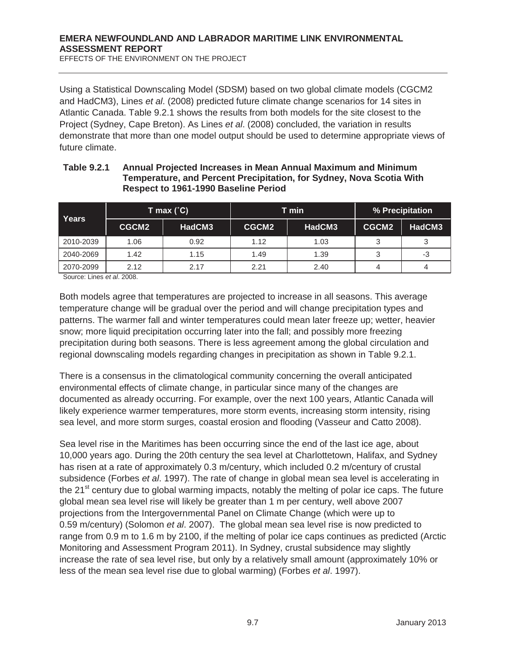EFFECTS OF THE ENVIRONMENT ON THE PROJECT

Using a Statistical Downscaling Model (SDSM) based on two global climate models (CGCM2 and HadCM3), Lines *et al*. (2008) predicted future climate change scenarios for 14 sites in Atlantic Canada. Table 9.2.1 shows the results from both models for the site closest to the Project (Sydney, Cape Breton). As Lines *et al*. (2008) concluded, the variation in results demonstrate that more than one model output should be used to determine appropriate views of future climate.

| Years     | T max $(^{\circ}C)$ |        |       | T min  | % Precipitation |        |  |
|-----------|---------------------|--------|-------|--------|-----------------|--------|--|
|           | CGCM2               | HadCM3 | CGCM2 | HadCM3 | CGCM2           | HadCM3 |  |
| 2010-2039 | 1.06                | 0.92   | 1.12  | 1.03   |                 |        |  |
| 2040-2069 | 1.42                | 1.15   | 1.49  | 1.39   |                 | -3     |  |
| 2070-2099 | 2.12                | 2.17   | 2.21  | 2.40   |                 |        |  |

#### **Table 9.2.1 Annual Projected Increases in Mean Annual Maximum and Minimum Temperature, and Percent Precipitation, for Sydney, Nova Scotia With Respect to 1961-1990 Baseline Period**

Source: Lines *et al*. 2008.

Both models agree that temperatures are projected to increase in all seasons. This average temperature change will be gradual over the period and will change precipitation types and patterns. The warmer fall and winter temperatures could mean later freeze up; wetter, heavier snow; more liquid precipitation occurring later into the fall; and possibly more freezing precipitation during both seasons. There is less agreement among the global circulation and regional downscaling models regarding changes in precipitation as shown in Table 9.2.1.

There is a consensus in the climatological community concerning the overall anticipated environmental effects of climate change, in particular since many of the changes are documented as already occurring. For example, over the next 100 years, Atlantic Canada will likely experience warmer temperatures, more storm events, increasing storm intensity, rising sea level, and more storm surges, coastal erosion and flooding (Vasseur and Catto 2008).

Sea level rise in the Maritimes has been occurring since the end of the last ice age, about 10,000 years ago. During the 20th century the sea level at Charlottetown, Halifax, and Sydney has risen at a rate of approximately 0.3 m/century, which included 0.2 m/century of crustal subsidence (Forbes *et al*. 1997). The rate of change in global mean sea level is accelerating in the 21<sup>st</sup> century due to global warming impacts, notably the melting of polar ice caps. The future global mean sea level rise will likely be greater than 1 m per century, well above 2007 projections from the Intergovernmental Panel on Climate Change (which were up to 0.59 m/century) (Solomon *et al*. 2007). The global mean sea level rise is now predicted to range from 0.9 m to 1.6 m by 2100, if the melting of polar ice caps continues as predicted (Arctic Monitoring and Assessment Program 2011). In Sydney, crustal subsidence may slightly increase the rate of sea level rise, but only by a relatively small amount (approximately 10% or less of the mean sea level rise due to global warming) (Forbes *et al*. 1997).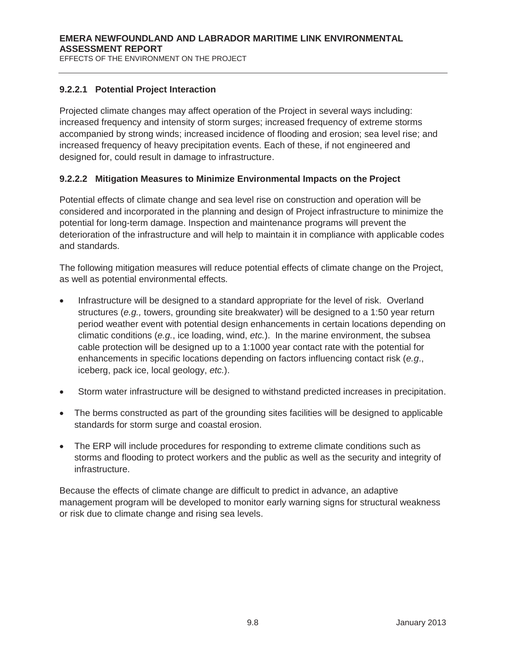## **9.2.2.1 Potential Project Interaction**

Projected climate changes may affect operation of the Project in several ways including: increased frequency and intensity of storm surges; increased frequency of extreme storms accompanied by strong winds; increased incidence of flooding and erosion; sea level rise; and increased frequency of heavy precipitation events. Each of these, if not engineered and designed for, could result in damage to infrastructure.

## **9.2.2.2 Mitigation Measures to Minimize Environmental Impacts on the Project**

Potential effects of climate change and sea level rise on construction and operation will be considered and incorporated in the planning and design of Project infrastructure to minimize the potential for long-term damage. Inspection and maintenance programs will prevent the deterioration of the infrastructure and will help to maintain it in compliance with applicable codes and standards.

The following mitigation measures will reduce potential effects of climate change on the Project, as well as potential environmental effects.

- Infrastructure will be designed to a standard appropriate for the level of risk. Overland structures (*e.g.,* towers, grounding site breakwater) will be designed to a 1:50 year return period weather event with potential design enhancements in certain locations depending on climatic conditions (*e.g.*, ice loading, wind, *etc.*). In the marine environment, the subsea cable protection will be designed up to a 1:1000 year contact rate with the potential for enhancements in specific locations depending on factors influencing contact risk (*e.g*., iceberg, pack ice, local geology, *etc.*).
- Storm water infrastructure will be designed to withstand predicted increases in precipitation.
- The berms constructed as part of the grounding sites facilities will be designed to applicable standards for storm surge and coastal erosion.
- The ERP will include procedures for responding to extreme climate conditions such as storms and flooding to protect workers and the public as well as the security and integrity of infrastructure.

Because the effects of climate change are difficult to predict in advance, an adaptive management program will be developed to monitor early warning signs for structural weakness or risk due to climate change and rising sea levels.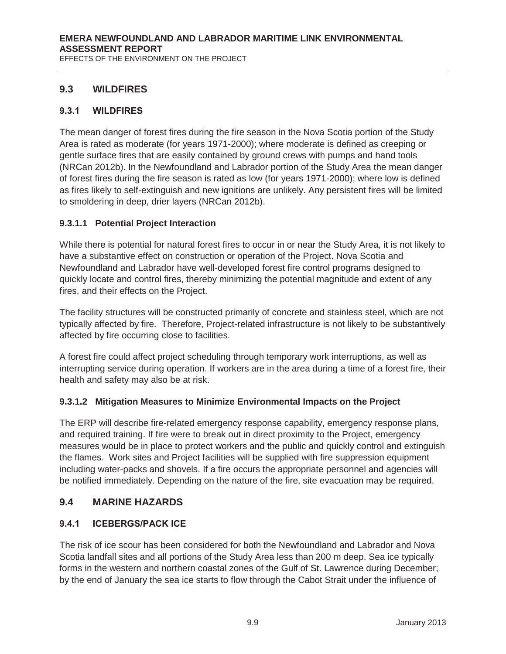# **9.3 WILDFIRES**

## **9.3.1 WILDFIRES**

The mean danger of forest fires during the fire season in the Nova Scotia portion of the Study Area is rated as moderate (for years 1971-2000); where moderate is defined as creeping or gentle surface fires that are easily contained by ground crews with pumps and hand tools (NRCan 2012b). In the Newfoundland and Labrador portion of the Study Area the mean danger of forest fires during the fire season is rated as low (for years 1971-2000); where low is defined as fires likely to self-extinguish and new ignitions are unlikely. Any persistent fires will be limited to smoldering in deep, drier layers (NRCan 2012b).

## **9.3.1.1 Potential Project Interaction**

While there is potential for natural forest fires to occur in or near the Study Area, it is not likely to have a substantive effect on construction or operation of the Project. Nova Scotia and Newfoundland and Labrador have well-developed forest fire control programs designed to quickly locate and control fires, thereby minimizing the potential magnitude and extent of any fires, and their effects on the Project.

The facility structures will be constructed primarily of concrete and stainless steel, which are not typically affected by fire. Therefore, Project-related infrastructure is not likely to be substantively affected by fire occurring close to facilities.

A forest fire could affect project scheduling through temporary work interruptions, as well as interrupting service during operation. If workers are in the area during a time of a forest fire, their health and safety may also be at risk.

#### **9.3.1.2 Mitigation Measures to Minimize Environmental Impacts on the Project**

The ERP will describe fire-related emergency response capability, emergency response plans, and required training. If fire were to break out in direct proximity to the Project, emergency measures would be in place to protect workers and the public and quickly control and extinguish the flames. Work sites and Project facilities will be supplied with fire suppression equipment including water-packs and shovels. If a fire occurs the appropriate personnel and agencies will be notified immediately. Depending on the nature of the fire, site evacuation may be required.

# **9.4 MARINE HAZARDS**

#### **9.4.1 ICEBERGS/PACK ICE**

The risk of ice scour has been considered for both the Newfoundland and Labrador and Nova Scotia landfall sites and all portions of the Study Area less than 200 m deep. Sea ice typically forms in the western and northern coastal zones of the Gulf of St. Lawrence during December; by the end of January the sea ice starts to flow through the Cabot Strait under the influence of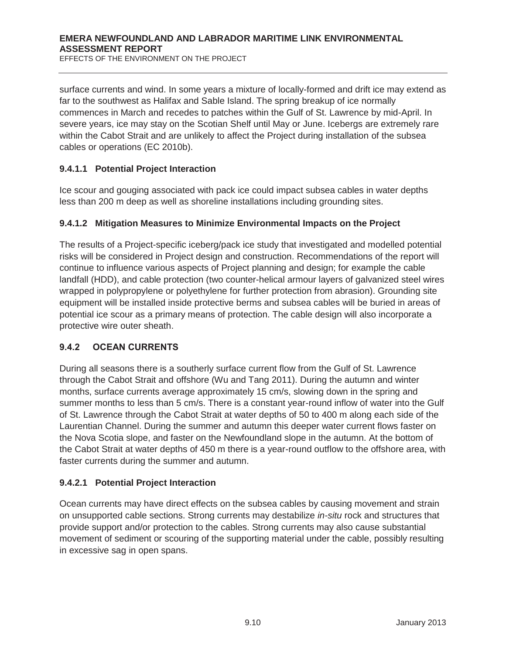surface currents and wind. In some years a mixture of locally-formed and drift ice may extend as far to the southwest as Halifax and Sable Island. The spring breakup of ice normally commences in March and recedes to patches within the Gulf of St. Lawrence by mid-April. In severe years, ice may stay on the Scotian Shelf until May or June. Icebergs are extremely rare within the Cabot Strait and are unlikely to affect the Project during installation of the subsea cables or operations (EC 2010b).

## **9.4.1.1 Potential Project Interaction**

Ice scour and gouging associated with pack ice could impact subsea cables in water depths less than 200 m deep as well as shoreline installations including grounding sites.

## **9.4.1.2 Mitigation Measures to Minimize Environmental Impacts on the Project**

The results of a Project-specific iceberg/pack ice study that investigated and modelled potential risks will be considered in Project design and construction. Recommendations of the report will continue to influence various aspects of Project planning and design; for example the cable landfall (HDD), and cable protection (two counter-helical armour layers of galvanized steel wires wrapped in polypropylene or polyethylene for further protection from abrasion). Grounding site equipment will be installed inside protective berms and subsea cables will be buried in areas of potential ice scour as a primary means of protection. The cable design will also incorporate a protective wire outer sheath.

#### **9.4.2 OCEAN CURRENTS**

During all seasons there is a southerly surface current flow from the Gulf of St. Lawrence through the Cabot Strait and offshore (Wu and Tang 2011). During the autumn and winter months, surface currents average approximately 15 cm/s, slowing down in the spring and summer months to less than 5 cm/s. There is a constant year-round inflow of water into the Gulf of St. Lawrence through the Cabot Strait at water depths of 50 to 400 m along each side of the Laurentian Channel. During the summer and autumn this deeper water current flows faster on the Nova Scotia slope, and faster on the Newfoundland slope in the autumn. At the bottom of the Cabot Strait at water depths of 450 m there is a year-round outflow to the offshore area, with faster currents during the summer and autumn.

#### **9.4.2.1 Potential Project Interaction**

Ocean currents may have direct effects on the subsea cables by causing movement and strain on unsupported cable sections. Strong currents may destabilize *in-situ* rock and structures that provide support and/or protection to the cables. Strong currents may also cause substantial movement of sediment or scouring of the supporting material under the cable, possibly resulting in excessive sag in open spans.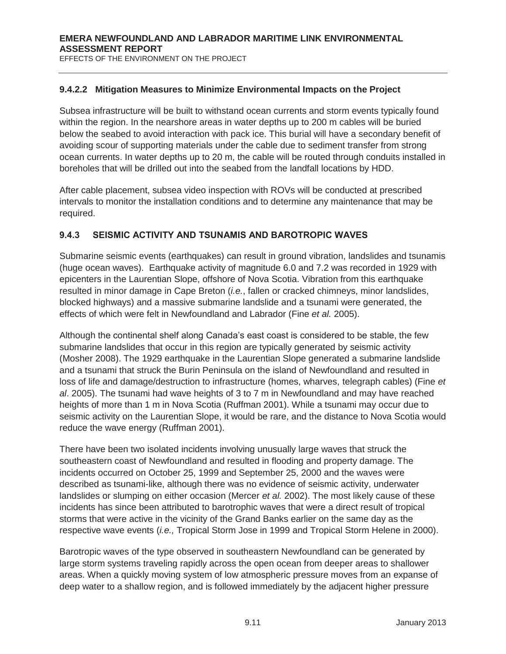#### **9.4.2.2 Mitigation Measures to Minimize Environmental Impacts on the Project**

Subsea infrastructure will be built to withstand ocean currents and storm events typically found within the region. In the nearshore areas in water depths up to 200 m cables will be buried below the seabed to avoid interaction with pack ice. This burial will have a secondary benefit of avoiding scour of supporting materials under the cable due to sediment transfer from strong ocean currents. In water depths up to 20 m, the cable will be routed through conduits installed in boreholes that will be drilled out into the seabed from the landfall locations by HDD.

After cable placement, subsea video inspection with ROVs will be conducted at prescribed intervals to monitor the installation conditions and to determine any maintenance that may be required.

## **9.4.3 SEISMIC ACTIVITY AND TSUNAMIS AND BAROTROPIC WAVES**

Submarine seismic events (earthquakes) can result in ground vibration, landslides and tsunamis (huge ocean waves). Earthquake activity of magnitude 6.0 and 7.2 was recorded in 1929 with epicenters in the Laurentian Slope, offshore of Nova Scotia. Vibration from this earthquake resulted in minor damage in Cape Breton (*i.e.*, fallen or cracked chimneys, minor landslides, blocked highways) and a massive submarine landslide and a tsunami were generated, the effects of which were felt in Newfoundland and Labrador (Fine *et al.* 2005).

Although the continental shelf along Canada's east coast is considered to be stable, the few submarine landslides that occur in this region are typically generated by seismic activity (Mosher 2008). The 1929 earthquake in the Laurentian Slope generated a submarine landslide and a tsunami that struck the Burin Peninsula on the island of Newfoundland and resulted in loss of life and damage/destruction to infrastructure (homes, wharves, telegraph cables) (Fine *et al*. 2005). The tsunami had wave heights of 3 to 7 m in Newfoundland and may have reached heights of more than 1 m in Nova Scotia (Ruffman 2001). While a tsunami may occur due to seismic activity on the Laurentian Slope, it would be rare, and the distance to Nova Scotia would reduce the wave energy (Ruffman 2001).

There have been two isolated incidents involving unusually large waves that struck the southeastern coast of Newfoundland and resulted in flooding and property damage. The incidents occurred on October 25, 1999 and September 25, 2000 and the waves were described as tsunami-like, although there was no evidence of seismic activity, underwater landslides or slumping on either occasion (Mercer *et al.* 2002). The most likely cause of these incidents has since been attributed to barotrophic waves that were a direct result of tropical storms that were active in the vicinity of the Grand Banks earlier on the same day as the respective wave events (*i.e.,* Tropical Storm Jose in 1999 and Tropical Storm Helene in 2000).

Barotropic waves of the type observed in southeastern Newfoundland can be generated by large storm systems traveling rapidly across the open ocean from deeper areas to shallower areas. When a quickly moving system of low atmospheric pressure moves from an expanse of deep water to a shallow region, and is followed immediately by the adjacent higher pressure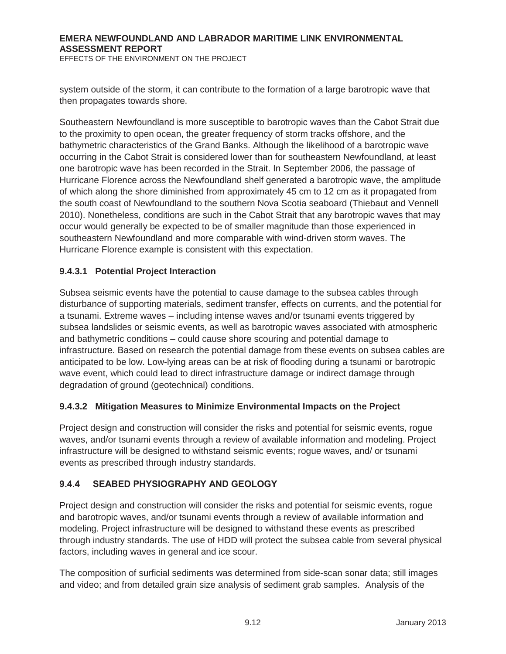EFFECTS OF THE ENVIRONMENT ON THE PROJECT

system outside of the storm, it can contribute to the formation of a large barotropic wave that then propagates towards shore.

Southeastern Newfoundland is more susceptible to barotropic waves than the Cabot Strait due to the proximity to open ocean, the greater frequency of storm tracks offshore, and the bathymetric characteristics of the Grand Banks. Although the likelihood of a barotropic wave occurring in the Cabot Strait is considered lower than for southeastern Newfoundland, at least one barotropic wave has been recorded in the Strait. In September 2006, the passage of Hurricane Florence across the Newfoundland shelf generated a barotropic wave, the amplitude of which along the shore diminished from approximately 45 cm to 12 cm as it propagated from the south coast of Newfoundland to the southern Nova Scotia seaboard (Thiebaut and Vennell 2010). Nonetheless, conditions are such in the Cabot Strait that any barotropic waves that may occur would generally be expected to be of smaller magnitude than those experienced in southeastern Newfoundland and more comparable with wind-driven storm waves. The Hurricane Florence example is consistent with this expectation.

#### **9.4.3.1 Potential Project Interaction**

Subsea seismic events have the potential to cause damage to the subsea cables through disturbance of supporting materials, sediment transfer, effects on currents, and the potential for a tsunami. Extreme waves – including intense waves and/or tsunami events triggered by subsea landslides or seismic events, as well as barotropic waves associated with atmospheric and bathymetric conditions – could cause shore scouring and potential damage to infrastructure. Based on research the potential damage from these events on subsea cables are anticipated to be low. Low-lying areas can be at risk of flooding during a tsunami or barotropic wave event, which could lead to direct infrastructure damage or indirect damage through degradation of ground (geotechnical) conditions.

#### **9.4.3.2 Mitigation Measures to Minimize Environmental Impacts on the Project**

Project design and construction will consider the risks and potential for seismic events, rogue waves, and/or tsunami events through a review of available information and modeling. Project infrastructure will be designed to withstand seismic events; rogue waves, and/ or tsunami events as prescribed through industry standards.

#### **9.4.4 SEABED PHYSIOGRAPHY AND GEOLOGY**

Project design and construction will consider the risks and potential for seismic events, rogue and barotropic waves, and/or tsunami events through a review of available information and modeling. Project infrastructure will be designed to withstand these events as prescribed through industry standards. The use of HDD will protect the subsea cable from several physical factors, including waves in general and ice scour.

The composition of surficial sediments was determined from side-scan sonar data; still images and video; and from detailed grain size analysis of sediment grab samples. Analysis of the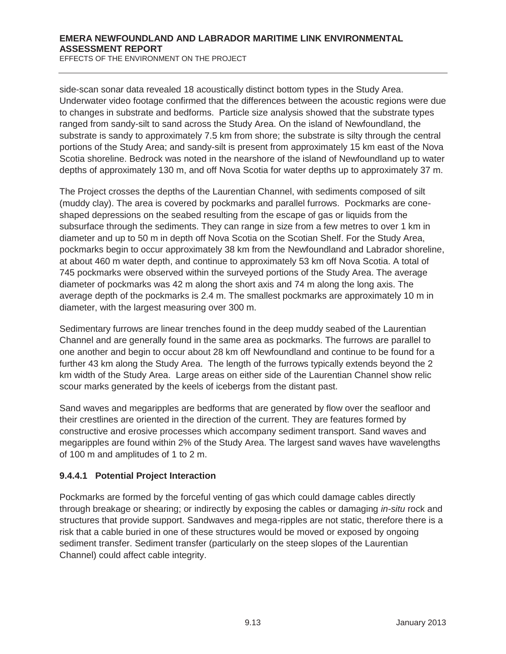side-scan sonar data revealed 18 acoustically distinct bottom types in the Study Area. Underwater video footage confirmed that the differences between the acoustic regions were due to changes in substrate and bedforms. Particle size analysis showed that the substrate types ranged from sandy-silt to sand across the Study Area. On the island of Newfoundland, the substrate is sandy to approximately 7.5 km from shore; the substrate is silty through the central portions of the Study Area; and sandy-silt is present from approximately 15 km east of the Nova Scotia shoreline. Bedrock was noted in the nearshore of the island of Newfoundland up to water depths of approximately 130 m, and off Nova Scotia for water depths up to approximately 37 m.

The Project crosses the depths of the Laurentian Channel, with sediments composed of silt (muddy clay). The area is covered by pockmarks and parallel furrows. Pockmarks are coneshaped depressions on the seabed resulting from the escape of gas or liquids from the subsurface through the sediments. They can range in size from a few metres to over 1 km in diameter and up to 50 m in depth off Nova Scotia on the Scotian Shelf. For the Study Area, pockmarks begin to occur approximately 38 km from the Newfoundland and Labrador shoreline, at about 460 m water depth, and continue to approximately 53 km off Nova Scotia. A total of 745 pockmarks were observed within the surveyed portions of the Study Area. The average diameter of pockmarks was 42 m along the short axis and 74 m along the long axis. The average depth of the pockmarks is 2.4 m. The smallest pockmarks are approximately 10 m in diameter, with the largest measuring over 300 m.

Sedimentary furrows are linear trenches found in the deep muddy seabed of the Laurentian Channel and are generally found in the same area as pockmarks. The furrows are parallel to one another and begin to occur about 28 km off Newfoundland and continue to be found for a further 43 km along the Study Area. The length of the furrows typically extends beyond the 2 km width of the Study Area. Large areas on either side of the Laurentian Channel show relic scour marks generated by the keels of icebergs from the distant past.

Sand waves and megaripples are bedforms that are generated by flow over the seafloor and their crestlines are oriented in the direction of the current. They are features formed by constructive and erosive processes which accompany sediment transport. Sand waves and megaripples are found within 2% of the Study Area. The largest sand waves have wavelengths of 100 m and amplitudes of 1 to 2 m.

# **9.4.4.1 Potential Project Interaction**

Pockmarks are formed by the forceful venting of gas which could damage cables directly through breakage or shearing; or indirectly by exposing the cables or damaging *in-situ* rock and structures that provide support. Sandwaves and mega-ripples are not static, therefore there is a risk that a cable buried in one of these structures would be moved or exposed by ongoing sediment transfer. Sediment transfer (particularly on the steep slopes of the Laurentian Channel) could affect cable integrity.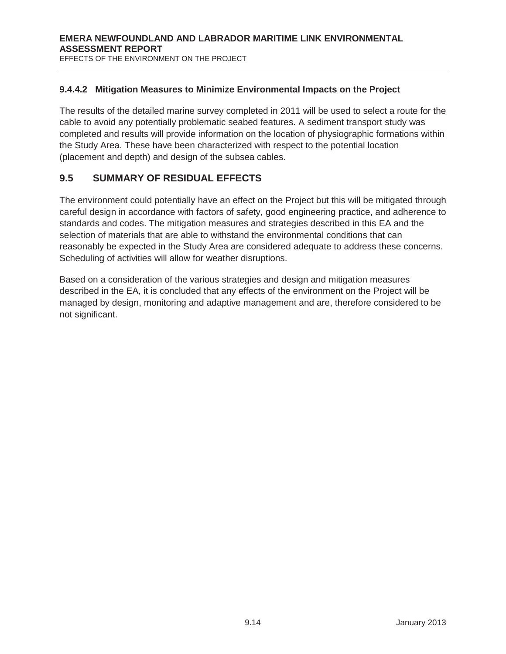#### **9.4.4.2 Mitigation Measures to Minimize Environmental Impacts on the Project**

The results of the detailed marine survey completed in 2011 will be used to select a route for the cable to avoid any potentially problematic seabed features. A sediment transport study was completed and results will provide information on the location of physiographic formations within the Study Area. These have been characterized with respect to the potential location (placement and depth) and design of the subsea cables.

# **9.5 SUMMARY OF RESIDUAL EFFECTS**

The environment could potentially have an effect on the Project but this will be mitigated through careful design in accordance with factors of safety, good engineering practice, and adherence to standards and codes. The mitigation measures and strategies described in this EA and the selection of materials that are able to withstand the environmental conditions that can reasonably be expected in the Study Area are considered adequate to address these concerns. Scheduling of activities will allow for weather disruptions.

Based on a consideration of the various strategies and design and mitigation measures described in the EA, it is concluded that any effects of the environment on the Project will be managed by design, monitoring and adaptive management and are, therefore considered to be not significant.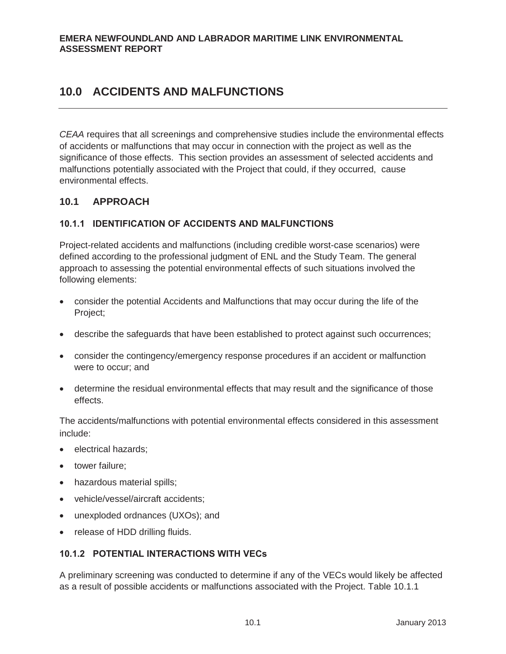*CEAA* requires that all screenings and comprehensive studies include the environmental effects of accidents or malfunctions that may occur in connection with the project as well as the significance of those effects. This section provides an assessment of selected accidents and malfunctions potentially associated with the Project that could, if they occurred, cause environmental effects.

# **10.1 APPROACH**

## **10.1.1 IDENTIFICATION OF ACCIDENTS AND MALFUNCTIONS**

Project-related accidents and malfunctions (including credible worst-case scenarios) were defined according to the professional judgment of ENL and the Study Team. The general approach to assessing the potential environmental effects of such situations involved the following elements:

- consider the potential Accidents and Malfunctions that may occur during the life of the Project;
- describe the safeguards that have been established to protect against such occurrences;
- consider the contingency/emergency response procedures if an accident or malfunction were to occur; and
- determine the residual environmental effects that may result and the significance of those effects.

The accidents/malfunctions with potential environmental effects considered in this assessment include:

- electrical hazards;
- tower failure;
- hazardous material spills;
- vehicle/vessel/aircraft accidents;
- unexploded ordnances (UXOs); and
- release of HDD drilling fluids.

# **10.1.2 POTENTIAL INTERACTIONS WITH VECs**

A preliminary screening was conducted to determine if any of the VECs would likely be affected as a result of possible accidents or malfunctions associated with the Project. Table 10.1.1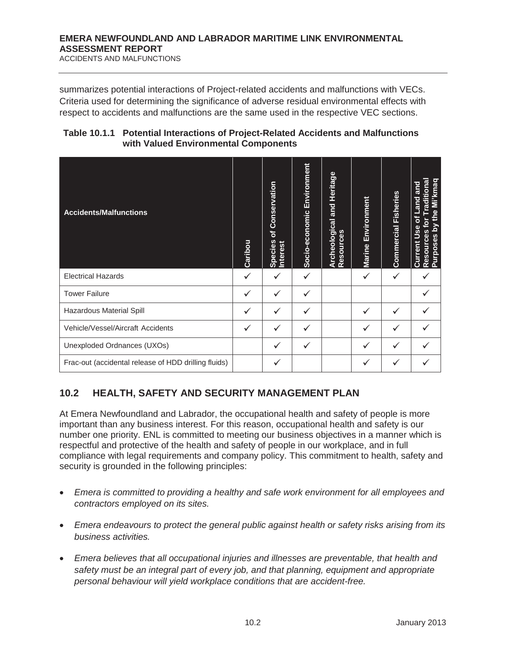ACCIDENTS AND MALFUNCTIONS

summarizes potential interactions of Project-related accidents and malfunctions with VECs. Criteria used for determining the significance of adverse residual environmental effects with respect to accidents and malfunctions are the same used in the respective VEC sections.

| Table 10.1.1 Potential Interactions of Project-Related Accidents and Malfunctions |
|-----------------------------------------------------------------------------------|
| with Valued Environmental Components                                              |

| <b>Accidents/Malfunctions</b>                        |  | of Conservation<br><b>Species</b><br>nterest | Socio-economic Environment | Archeological and Heritage<br>Resources | Environment<br>Marine | <b>Commercial Fisheries</b> | by the Mi'kmaq<br>raditiona<br>Land and<br>৳<br>৯<br>Use<br>Resources<br><b>Purposes</b><br>Current |
|------------------------------------------------------|--|----------------------------------------------|----------------------------|-----------------------------------------|-----------------------|-----------------------------|-----------------------------------------------------------------------------------------------------|
| <b>Electrical Hazards</b>                            |  | ✓                                            | ✓                          |                                         | $\checkmark$          | $\checkmark$                |                                                                                                     |
| <b>Tower Failure</b>                                 |  | ✓                                            | ✓                          |                                         |                       |                             |                                                                                                     |
| Hazardous Material Spill                             |  | ✓                                            | ✓                          |                                         | $\checkmark$          | ✓                           |                                                                                                     |
| Vehicle/Vessel/Aircraft Accidents                    |  | ✓                                            | ✓                          |                                         | $\checkmark$          | ✓                           |                                                                                                     |
| Unexploded Ordnances (UXOs)                          |  | $\checkmark$                                 | ✓                          |                                         | ✓                     | ✓                           |                                                                                                     |
| Frac-out (accidental release of HDD drilling fluids) |  | ✓                                            |                            |                                         |                       |                             |                                                                                                     |

# **10.2 HEALTH, SAFETY AND SECURITY MANAGEMENT PLAN**

At Emera Newfoundland and Labrador, the occupational health and safety of people is more important than any business interest. For this reason, occupational health and safety is our number one priority. ENL is committed to meeting our business objectives in a manner which is respectful and protective of the health and safety of people in our workplace, and in full compliance with legal requirements and company policy. This commitment to health, safety and security is grounded in the following principles:

- x *Emera is committed to providing a healthy and safe work environment for all employees and contractors employed on its sites.*
- Emera endeavours to protect the general public against health or safety risks arising from its *business activities.*
- x *Emera believes that all occupational injuries and illnesses are preventable, that health and safety must be an integral part of every job, and that planning, equipment and appropriate personal behaviour will yield workplace conditions that are accident-free.*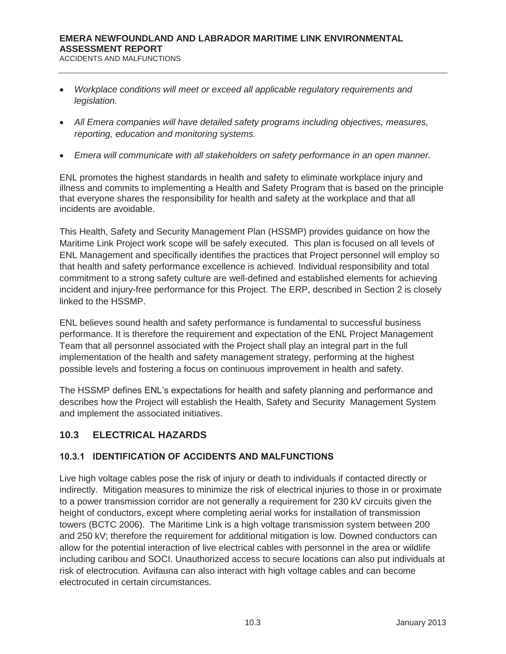ACCIDENTS AND MALFUNCTIONS

- x *Workplace conditions will meet or exceed all applicable regulatory requirements and legislation.*
- x *All Emera companies will have detailed safety programs including objectives, measures, reporting, education and monitoring systems.*
- x *Emera will communicate with all stakeholders on safety performance in an open manner.*

ENL promotes the highest standards in health and safety to eliminate workplace injury and illness and commits to implementing a Health and Safety Program that is based on the principle that everyone shares the responsibility for health and safety at the workplace and that all incidents are avoidable.

This Health, Safety and Security Management Plan (HSSMP) provides guidance on how the Maritime Link Project work scope will be safely executed. This plan is focused on all levels of ENL Management and specifically identifies the practices that Project personnel will employ so that health and safety performance excellence is achieved. Individual responsibility and total commitment to a strong safety culture are well-defined and established elements for achieving incident and injury-free performance for this Project. The ERP, described in Section 2 is closely linked to the HSSMP.

ENL believes sound health and safety performance is fundamental to successful business performance. It is therefore the requirement and expectation of the ENL Project Management Team that all personnel associated with the Project shall play an integral part in the full implementation of the health and safety management strategy, performing at the highest possible levels and fostering a focus on continuous improvement in health and safety.

The HSSMP defines ENL's expectations for health and safety planning and performance and describes how the Project will establish the Health, Safety and Security Management System and implement the associated initiatives.

# **10.3 ELECTRICAL HAZARDS**

# **10.3.1 IDENTIFICATION OF ACCIDENTS AND MALFUNCTIONS**

Live high voltage cables pose the risk of injury or death to individuals if contacted directly or indirectly. Mitigation measures to minimize the risk of electrical injuries to those in or proximate to a power transmission corridor are not generally a requirement for 230 kV circuits given the height of conductors, except where completing aerial works for installation of transmission towers (BCTC 2006). The Maritime Link is a high voltage transmission system between 200 and 250 kV; therefore the requirement for additional mitigation is low. Downed conductors can allow for the potential interaction of live electrical cables with personnel in the area or wildlife including caribou and SOCI. Unauthorized access to secure locations can also put individuals at risk of electrocution. Avifauna can also interact with high voltage cables and can become electrocuted in certain circumstances.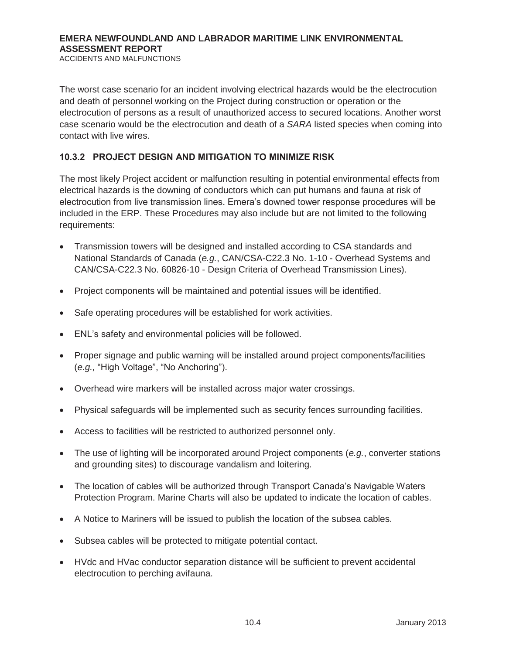The worst case scenario for an incident involving electrical hazards would be the electrocution and death of personnel working on the Project during construction or operation or the electrocution of persons as a result of unauthorized access to secured locations. Another worst case scenario would be the electrocution and death of a *SARA* listed species when coming into contact with live wires.

#### **10.3.2 PROJECT DESIGN AND MITIGATION TO MINIMIZE RISK**

The most likely Project accident or malfunction resulting in potential environmental effects from electrical hazards is the downing of conductors which can put humans and fauna at risk of electrocution from live transmission lines. Emera's downed tower response procedures will be included in the ERP. These Procedures may also include but are not limited to the following requirements:

- x Transmission towers will be designed and installed according to CSA standards and National Standards of Canada (*e.g.*, CAN/CSA-C22.3 No. 1-10 - Overhead Systems and CAN/CSA-C22.3 No. 60826-10 - Design Criteria of Overhead Transmission Lines).
- Project components will be maintained and potential issues will be identified.
- Safe operating procedures will be established for work activities.
- x ENL's safety and environmental policies will be followed.
- Proper signage and public warning will be installed around project components/facilities (*e.g.,* "High Voltage", "No Anchoring").
- Overhead wire markers will be installed across major water crossings.
- Physical safeguards will be implemented such as security fences surrounding facilities.
- Access to facilities will be restricted to authorized personnel only.
- The use of lighting will be incorporated around Project components (*e.g.*, converter stations and grounding sites) to discourage vandalism and loitering.
- The location of cables will be authorized through Transport Canada's Navigable Waters Protection Program. Marine Charts will also be updated to indicate the location of cables.
- A Notice to Mariners will be issued to publish the location of the subsea cables.
- Subsea cables will be protected to mitigate potential contact.
- HVdc and HVac conductor separation distance will be sufficient to prevent accidental electrocution to perching avifauna.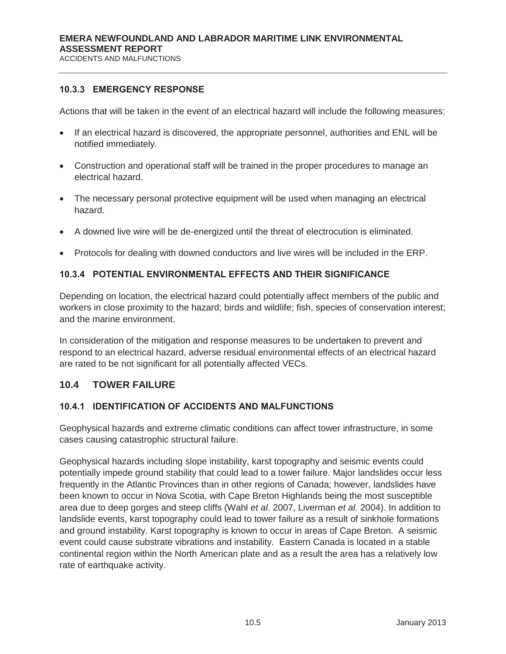#### **10.3.3 EMERGENCY RESPONSE**

Actions that will be taken in the event of an electrical hazard will include the following measures:

- If an electrical hazard is discovered, the appropriate personnel, authorities and ENL will be notified immediately.
- Construction and operational staff will be trained in the proper procedures to manage an electrical hazard.
- The necessary personal protective equipment will be used when managing an electrical hazard.
- A downed live wire will be de-energized until the threat of electrocution is eliminated.
- Protocols for dealing with downed conductors and live wires will be included in the ERP.

## **10.3.4 POTENTIAL ENVIRONMENTAL EFFECTS AND THEIR SIGNIFICANCE**

Depending on location, the electrical hazard could potentially affect members of the public and workers in close proximity to the hazard; birds and wildlife; fish, species of conservation interest; and the marine environment.

In consideration of the mitigation and response measures to be undertaken to prevent and respond to an electrical hazard, adverse residual environmental effects of an electrical hazard are rated to be not significant for all potentially affected VECs.

# **10.4 TOWER FAILURE**

#### **10.4.1 IDENTIFICATION OF ACCIDENTS AND MALFUNCTIONS**

Geophysical hazards and extreme climatic conditions can affect tower infrastructure, in some cases causing catastrophic structural failure.

Geophysical hazards including slope instability, karst topography and seismic events could potentially impede ground stability that could lead to a tower failure. Major landslides occur less frequently in the Atlantic Provinces than in other regions of Canada; however, landslides have been known to occur in Nova Scotia, with Cape Breton Highlands being the most susceptible area due to deep gorges and steep cliffs (Wahl *et al*. 2007, Liverman *et al*. 2004). In addition to landslide events, karst topography could lead to tower failure as a result of sinkhole formations and ground instability. Karst topography is known to occur in areas of Cape Breton. A seismic event could cause substrate vibrations and instability. Eastern Canada is located in a stable continental region within the North American plate and as a result the area has a relatively low rate of earthquake activity.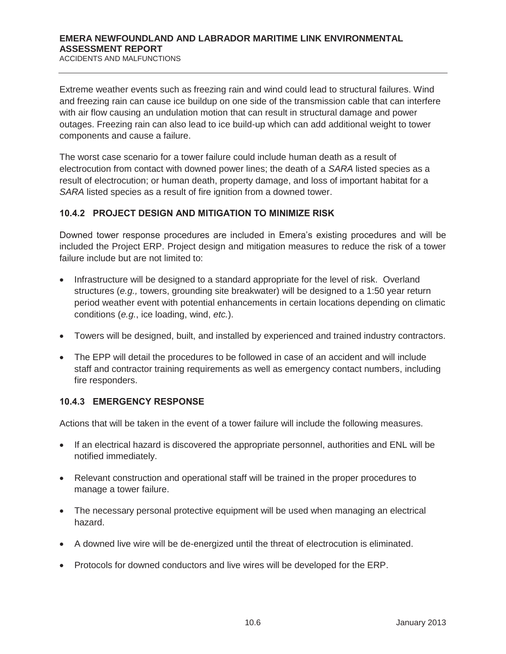Extreme weather events such as freezing rain and wind could lead to structural failures. Wind and freezing rain can cause ice buildup on one side of the transmission cable that can interfere with air flow causing an undulation motion that can result in structural damage and power outages. Freezing rain can also lead to ice build-up which can add additional weight to tower components and cause a failure.

The worst case scenario for a tower failure could include human death as a result of electrocution from contact with downed power lines; the death of a *SARA* listed species as a result of electrocution; or human death, property damage, and loss of important habitat for a *SARA* listed species as a result of fire ignition from a downed tower.

## **10.4.2 PROJECT DESIGN AND MITIGATION TO MINIMIZE RISK**

Downed tower response procedures are included in Emera's existing procedures and will be included the Project ERP. Project design and mitigation measures to reduce the risk of a tower failure include but are not limited to:

- Infrastructure will be designed to a standard appropriate for the level of risk. Overland structures (*e.g.,* towers, grounding site breakwater) will be designed to a 1:50 year return period weather event with potential enhancements in certain locations depending on climatic conditions (*e.g.*, ice loading, wind, *etc.*).
- Towers will be designed, built, and installed by experienced and trained industry contractors.
- The EPP will detail the procedures to be followed in case of an accident and will include staff and contractor training requirements as well as emergency contact numbers, including fire responders.

#### **10.4.3 EMERGENCY RESPONSE**

Actions that will be taken in the event of a tower failure will include the following measures.

- If an electrical hazard is discovered the appropriate personnel, authorities and ENL will be notified immediately.
- Relevant construction and operational staff will be trained in the proper procedures to manage a tower failure.
- The necessary personal protective equipment will be used when managing an electrical hazard.
- A downed live wire will be de-energized until the threat of electrocution is eliminated.
- Protocols for downed conductors and live wires will be developed for the ERP.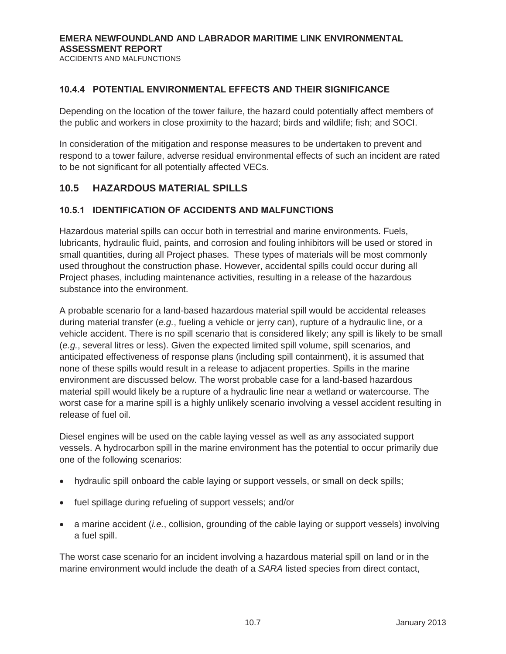#### **10.4.4 POTENTIAL ENVIRONMENTAL EFFECTS AND THEIR SIGNIFICANCE**

Depending on the location of the tower failure, the hazard could potentially affect members of the public and workers in close proximity to the hazard; birds and wildlife; fish; and SOCI.

In consideration of the mitigation and response measures to be undertaken to prevent and respond to a tower failure, adverse residual environmental effects of such an incident are rated to be not significant for all potentially affected VECs.

## **10.5 HAZARDOUS MATERIAL SPILLS**

#### **10.5.1 IDENTIFICATION OF ACCIDENTS AND MALFUNCTIONS**

Hazardous material spills can occur both in terrestrial and marine environments. Fuels, lubricants, hydraulic fluid, paints, and corrosion and fouling inhibitors will be used or stored in small quantities, during all Project phases. These types of materials will be most commonly used throughout the construction phase. However, accidental spills could occur during all Project phases, including maintenance activities, resulting in a release of the hazardous substance into the environment.

A probable scenario for a land-based hazardous material spill would be accidental releases during material transfer (*e.g.*, fueling a vehicle or jerry can), rupture of a hydraulic line, or a vehicle accident. There is no spill scenario that is considered likely; any spill is likely to be small (*e.g.*, several litres or less). Given the expected limited spill volume, spill scenarios, and anticipated effectiveness of response plans (including spill containment), it is assumed that none of these spills would result in a release to adjacent properties. Spills in the marine environment are discussed below. The worst probable case for a land-based hazardous material spill would likely be a rupture of a hydraulic line near a wetland or watercourse. The worst case for a marine spill is a highly unlikely scenario involving a vessel accident resulting in release of fuel oil.

Diesel engines will be used on the cable laying vessel as well as any associated support vessels. A hydrocarbon spill in the marine environment has the potential to occur primarily due one of the following scenarios:

- hydraulic spill onboard the cable laying or support vessels, or small on deck spills;
- fuel spillage during refueling of support vessels; and/or
- x a marine accident (*i.e.*, collision, grounding of the cable laying or support vessels) involving a fuel spill.

The worst case scenario for an incident involving a hazardous material spill on land or in the marine environment would include the death of a *SARA* listed species from direct contact,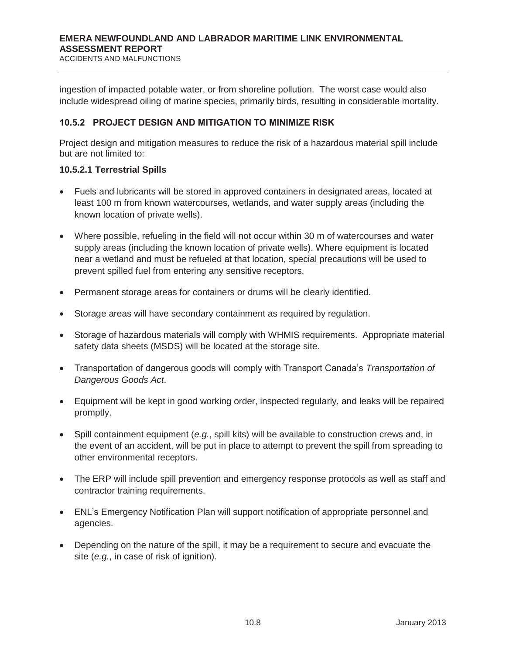ingestion of impacted potable water, or from shoreline pollution. The worst case would also include widespread oiling of marine species, primarily birds, resulting in considerable mortality.

#### **10.5.2 PROJECT DESIGN AND MITIGATION TO MINIMIZE RISK**

Project design and mitigation measures to reduce the risk of a hazardous material spill include but are not limited to:

#### **10.5.2.1 Terrestrial Spills**

- Fuels and lubricants will be stored in approved containers in designated areas, located at least 100 m from known watercourses, wetlands, and water supply areas (including the known location of private wells).
- Where possible, refueling in the field will not occur within 30 m of watercourses and water supply areas (including the known location of private wells). Where equipment is located near a wetland and must be refueled at that location, special precautions will be used to prevent spilled fuel from entering any sensitive receptors.
- Permanent storage areas for containers or drums will be clearly identified.
- Storage areas will have secondary containment as required by regulation.
- Storage of hazardous materials will comply with WHMIS requirements. Appropriate material safety data sheets (MSDS) will be located at the storage site.
- Transportation of dangerous goods will comply with Transport Canada's *Transportation of Dangerous Goods Act*.
- Equipment will be kept in good working order, inspected regularly, and leaks will be repaired promptly.
- x Spill containment equipment (*e.g.*, spill kits) will be available to construction crews and, in the event of an accident, will be put in place to attempt to prevent the spill from spreading to other environmental receptors.
- The ERP will include spill prevention and emergency response protocols as well as staff and contractor training requirements.
- ENL's Emergency Notification Plan will support notification of appropriate personnel and agencies.
- Depending on the nature of the spill, it may be a requirement to secure and evacuate the site (*e.g.*, in case of risk of ignition).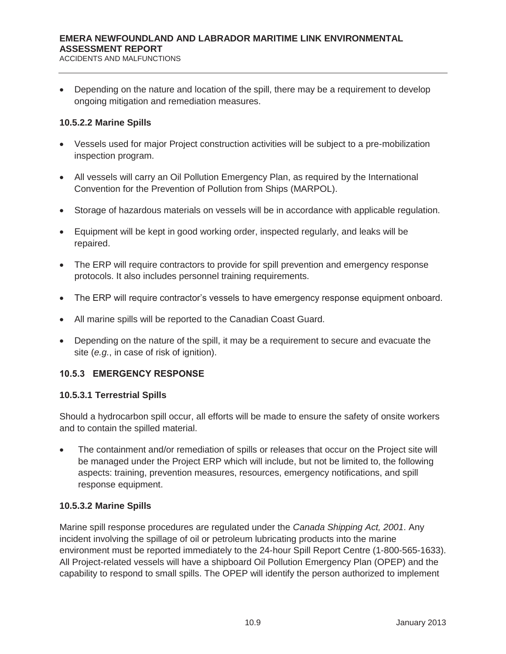Depending on the nature and location of the spill, there may be a requirement to develop ongoing mitigation and remediation measures.

#### **10.5.2.2 Marine Spills**

- Vessels used for major Project construction activities will be subject to a pre-mobilization inspection program.
- All vessels will carry an Oil Pollution Emergency Plan, as required by the International Convention for the Prevention of Pollution from Ships (MARPOL).
- Storage of hazardous materials on vessels will be in accordance with applicable regulation.
- Equipment will be kept in good working order, inspected regularly, and leaks will be repaired.
- The ERP will require contractors to provide for spill prevention and emergency response protocols. It also includes personnel training requirements.
- The ERP will require contractor's vessels to have emergency response equipment onboard.
- All marine spills will be reported to the Canadian Coast Guard.
- Depending on the nature of the spill, it may be a requirement to secure and evacuate the site (*e.g.*, in case of risk of ignition).

# **10.5.3 EMERGENCY RESPONSE**

#### **10.5.3.1 Terrestrial Spills**

Should a hydrocarbon spill occur, all efforts will be made to ensure the safety of onsite workers and to contain the spilled material.

The containment and/or remediation of spills or releases that occur on the Project site will be managed under the Project ERP which will include, but not be limited to, the following aspects: training, prevention measures, resources, emergency notifications, and spill response equipment.

#### **10.5.3.2 Marine Spills**

Marine spill response procedures are regulated under the *Canada Shipping Act, 2001*. Any incident involving the spillage of oil or petroleum lubricating products into the marine environment must be reported immediately to the 24-hour Spill Report Centre (1-800-565-1633). All Project-related vessels will have a shipboard Oil Pollution Emergency Plan (OPEP) and the capability to respond to small spills. The OPEP will identify the person authorized to implement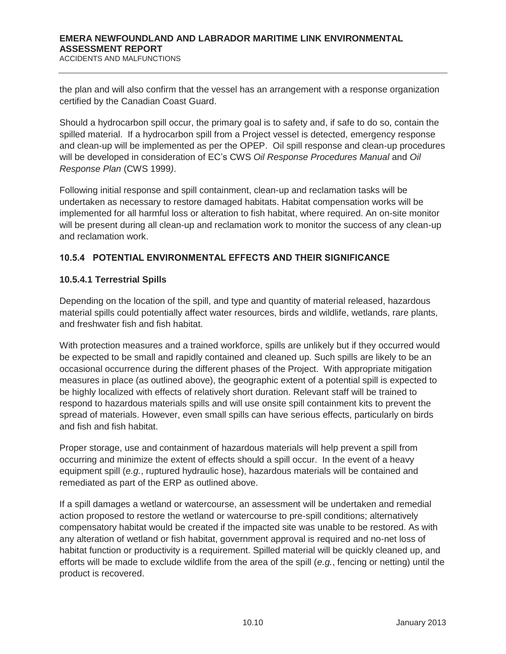the plan and will also confirm that the vessel has an arrangement with a response organization certified by the Canadian Coast Guard.

Should a hydrocarbon spill occur, the primary goal is to safety and, if safe to do so, contain the spilled material. If a hydrocarbon spill from a Project vessel is detected, emergency response and clean-up will be implemented as per the OPEP. Oil spill response and clean-up procedures will be developed in consideration of EC's CWS *Oil Response Procedures Manual* and *Oil Response Plan* (CWS 1999*)*.

Following initial response and spill containment, clean-up and reclamation tasks will be undertaken as necessary to restore damaged habitats. Habitat compensation works will be implemented for all harmful loss or alteration to fish habitat, where required. An on-site monitor will be present during all clean-up and reclamation work to monitor the success of any clean-up and reclamation work.

# **10.5.4 POTENTIAL ENVIRONMENTAL EFFECTS AND THEIR SIGNIFICANCE**

## **10.5.4.1 Terrestrial Spills**

Depending on the location of the spill, and type and quantity of material released, hazardous material spills could potentially affect water resources, birds and wildlife, wetlands, rare plants, and freshwater fish and fish habitat.

With protection measures and a trained workforce, spills are unlikely but if they occurred would be expected to be small and rapidly contained and cleaned up. Such spills are likely to be an occasional occurrence during the different phases of the Project. With appropriate mitigation measures in place (as outlined above), the geographic extent of a potential spill is expected to be highly localized with effects of relatively short duration. Relevant staff will be trained to respond to hazardous materials spills and will use onsite spill containment kits to prevent the spread of materials. However, even small spills can have serious effects, particularly on birds and fish and fish habitat.

Proper storage, use and containment of hazardous materials will help prevent a spill from occurring and minimize the extent of effects should a spill occur. In the event of a heavy equipment spill (*e.g.*, ruptured hydraulic hose), hazardous materials will be contained and remediated as part of the ERP as outlined above.

If a spill damages a wetland or watercourse, an assessment will be undertaken and remedial action proposed to restore the wetland or watercourse to pre-spill conditions; alternatively compensatory habitat would be created if the impacted site was unable to be restored. As with any alteration of wetland or fish habitat, government approval is required and no-net loss of habitat function or productivity is a requirement. Spilled material will be quickly cleaned up, and efforts will be made to exclude wildlife from the area of the spill (*e.g.*, fencing or netting) until the product is recovered.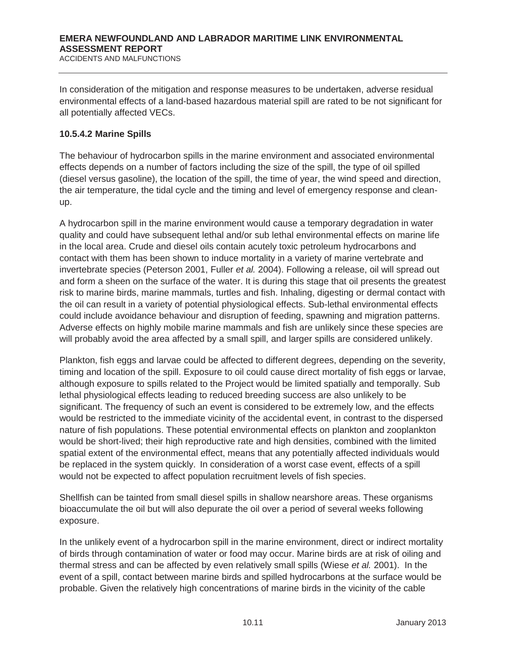In consideration of the mitigation and response measures to be undertaken, adverse residual environmental effects of a land-based hazardous material spill are rated to be not significant for all potentially affected VECs.

#### **10.5.4.2 Marine Spills**

The behaviour of hydrocarbon spills in the marine environment and associated environmental effects depends on a number of factors including the size of the spill, the type of oil spilled (diesel versus gasoline), the location of the spill, the time of year, the wind speed and direction, the air temperature, the tidal cycle and the timing and level of emergency response and cleanup.

A hydrocarbon spill in the marine environment would cause a temporary degradation in water quality and could have subsequent lethal and/or sub lethal environmental effects on marine life in the local area. Crude and diesel oils contain acutely toxic petroleum hydrocarbons and contact with them has been shown to induce mortality in a variety of marine vertebrate and invertebrate species (Peterson 2001, Fuller *et al.* 2004). Following a release, oil will spread out and form a sheen on the surface of the water. It is during this stage that oil presents the greatest risk to marine birds, marine mammals, turtles and fish. Inhaling, digesting or dermal contact with the oil can result in a variety of potential physiological effects. Sub-lethal environmental effects could include avoidance behaviour and disruption of feeding, spawning and migration patterns. Adverse effects on highly mobile marine mammals and fish are unlikely since these species are will probably avoid the area affected by a small spill, and larger spills are considered unlikely.

Plankton, fish eggs and larvae could be affected to different degrees, depending on the severity, timing and location of the spill. Exposure to oil could cause direct mortality of fish eggs or larvae, although exposure to spills related to the Project would be limited spatially and temporally. Sub lethal physiological effects leading to reduced breeding success are also unlikely to be significant. The frequency of such an event is considered to be extremely low, and the effects would be restricted to the immediate vicinity of the accidental event, in contrast to the dispersed nature of fish populations. These potential environmental effects on plankton and zooplankton would be short-lived; their high reproductive rate and high densities, combined with the limited spatial extent of the environmental effect, means that any potentially affected individuals would be replaced in the system quickly. In consideration of a worst case event, effects of a spill would not be expected to affect population recruitment levels of fish species.

Shellfish can be tainted from small diesel spills in shallow nearshore areas. These organisms bioaccumulate the oil but will also depurate the oil over a period of several weeks following exposure.

In the unlikely event of a hydrocarbon spill in the marine environment, direct or indirect mortality of birds through contamination of water or food may occur. Marine birds are at risk of oiling and thermal stress and can be affected by even relatively small spills (Wiese *et al.* 2001). In the event of a spill, contact between marine birds and spilled hydrocarbons at the surface would be probable. Given the relatively high concentrations of marine birds in the vicinity of the cable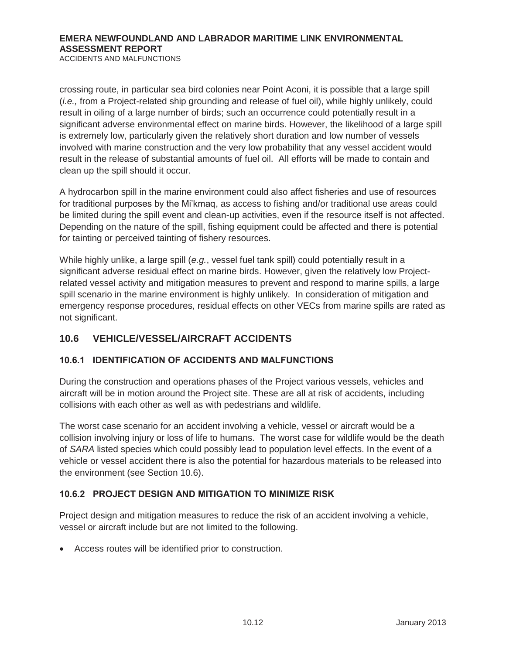crossing route, in particular sea bird colonies near Point Aconi, it is possible that a large spill (*i.e.,* from a Project-related ship grounding and release of fuel oil), while highly unlikely, could result in oiling of a large number of birds; such an occurrence could potentially result in a significant adverse environmental effect on marine birds. However, the likelihood of a large spill is extremely low, particularly given the relatively short duration and low number of vessels involved with marine construction and the very low probability that any vessel accident would result in the release of substantial amounts of fuel oil. All efforts will be made to contain and clean up the spill should it occur.

A hydrocarbon spill in the marine environment could also affect fisheries and use of resources for traditional purposes by the Mi'kmaq, as access to fishing and/or traditional use areas could be limited during the spill event and clean-up activities, even if the resource itself is not affected. Depending on the nature of the spill, fishing equipment could be affected and there is potential for tainting or perceived tainting of fishery resources.

While highly unlike, a large spill (*e.g.*, vessel fuel tank spill) could potentially result in a significant adverse residual effect on marine birds. However, given the relatively low Projectrelated vessel activity and mitigation measures to prevent and respond to marine spills, a large spill scenario in the marine environment is highly unlikely. In consideration of mitigation and emergency response procedures, residual effects on other VECs from marine spills are rated as not significant.

# **10.6 VEHICLE/VESSEL/AIRCRAFT ACCIDENTS**

# **10.6.1 IDENTIFICATION OF ACCIDENTS AND MALFUNCTIONS**

During the construction and operations phases of the Project various vessels, vehicles and aircraft will be in motion around the Project site. These are all at risk of accidents, including collisions with each other as well as with pedestrians and wildlife.

The worst case scenario for an accident involving a vehicle, vessel or aircraft would be a collision involving injury or loss of life to humans. The worst case for wildlife would be the death of *SARA* listed species which could possibly lead to population level effects. In the event of a vehicle or vessel accident there is also the potential for hazardous materials to be released into the environment (see Section 10.6).

#### **10.6.2 PROJECT DESIGN AND MITIGATION TO MINIMIZE RISK**

Project design and mitigation measures to reduce the risk of an accident involving a vehicle, vessel or aircraft include but are not limited to the following.

• Access routes will be identified prior to construction.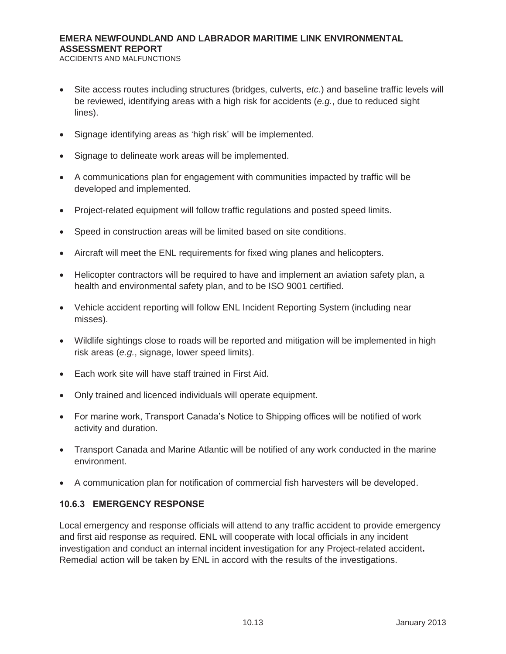ACCIDENTS AND MALFUNCTIONS

- Site access routes including structures (bridges, culverts, *etc.*) and baseline traffic levels will be reviewed, identifying areas with a high risk for accidents (*e.g.*, due to reduced sight lines).
- Signage identifying areas as 'high risk' will be implemented.
- Signage to delineate work areas will be implemented.
- A communications plan for engagement with communities impacted by traffic will be developed and implemented.
- Project-related equipment will follow traffic regulations and posted speed limits.
- Speed in construction areas will be limited based on site conditions.
- Aircraft will meet the ENL requirements for fixed wing planes and helicopters.
- Helicopter contractors will be required to have and implement an aviation safety plan, a health and environmental safety plan, and to be ISO 9001 certified.
- Vehicle accident reporting will follow ENL Incident Reporting System (including near misses).
- Wildlife sightings close to roads will be reported and mitigation will be implemented in high risk areas (*e.g.*, signage, lower speed limits).
- $\bullet$  Each work site will have staff trained in First Aid.
- Only trained and licenced individuals will operate equipment.
- For marine work, Transport Canada's Notice to Shipping offices will be notified of work activity and duration.
- Transport Canada and Marine Atlantic will be notified of any work conducted in the marine environment.
- A communication plan for notification of commercial fish harvesters will be developed.

#### **10.6.3 EMERGENCY RESPONSE**

Local emergency and response officials will attend to any traffic accident to provide emergency and first aid response as required. ENL will cooperate with local officials in any incident investigation and conduct an internal incident investigation for any Project-related accident**.**  Remedial action will be taken by ENL in accord with the results of the investigations.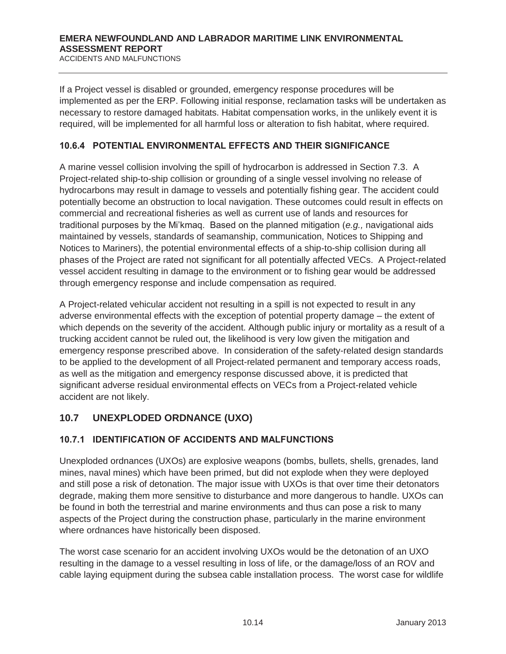If a Project vessel is disabled or grounded, emergency response procedures will be implemented as per the ERP. Following initial response, reclamation tasks will be undertaken as necessary to restore damaged habitats. Habitat compensation works, in the unlikely event it is required, will be implemented for all harmful loss or alteration to fish habitat, where required.

## **10.6.4 POTENTIAL ENVIRONMENTAL EFFECTS AND THEIR SIGNIFICANCE**

A marine vessel collision involving the spill of hydrocarbon is addressed in Section 7.3. A Project-related ship-to-ship collision or grounding of a single vessel involving no release of hydrocarbons may result in damage to vessels and potentially fishing gear. The accident could potentially become an obstruction to local navigation. These outcomes could result in effects on commercial and recreational fisheries as well as current use of lands and resources for traditional purposes by the Mi'kmaq. Based on the planned mitigation (*e.g.,* navigational aids maintained by vessels, standards of seamanship, communication, Notices to Shipping and Notices to Mariners), the potential environmental effects of a ship-to-ship collision during all phases of the Project are rated not significant for all potentially affected VECs. A Project-related vessel accident resulting in damage to the environment or to fishing gear would be addressed through emergency response and include compensation as required.

A Project-related vehicular accident not resulting in a spill is not expected to result in any adverse environmental effects with the exception of potential property damage – the extent of which depends on the severity of the accident. Although public injury or mortality as a result of a trucking accident cannot be ruled out, the likelihood is very low given the mitigation and emergency response prescribed above. In consideration of the safety-related design standards to be applied to the development of all Project-related permanent and temporary access roads, as well as the mitigation and emergency response discussed above, it is predicted that significant adverse residual environmental effects on VECs from a Project-related vehicle accident are not likely.

# **10.7 UNEXPLODED ORDNANCE (UXO)**

# **10.7.1 IDENTIFICATION OF ACCIDENTS AND MALFUNCTIONS**

Unexploded ordnances (UXOs) are explosive weapons (bombs, bullets, shells, grenades, land mines, naval mines) which have been primed, but did not explode when they were deployed and still pose a risk of detonation. The major issue with UXOs is that over time their detonators degrade, making them more sensitive to disturbance and more dangerous to handle. UXOs can be found in both the terrestrial and marine environments and thus can pose a risk to many aspects of the Project during the construction phase, particularly in the marine environment where ordnances have historically been disposed.

The worst case scenario for an accident involving UXOs would be the detonation of an UXO resulting in the damage to a vessel resulting in loss of life, or the damage/loss of an ROV and cable laying equipment during the subsea cable installation process. The worst case for wildlife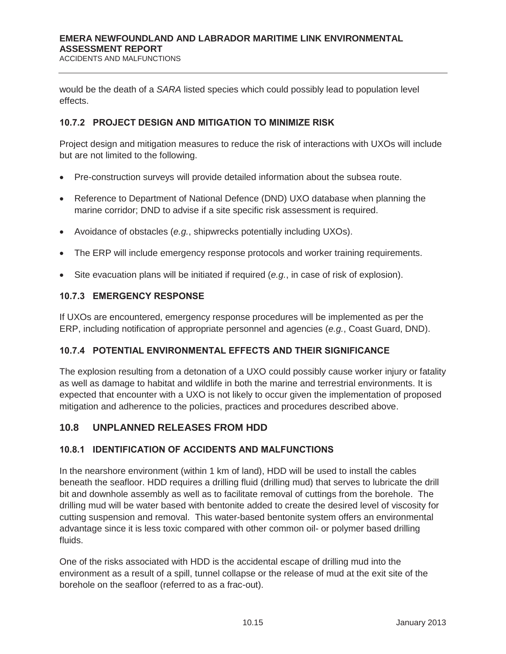ACCIDENTS AND MALFUNCTIONS

would be the death of a *SARA* listed species which could possibly lead to population level effects.

#### **10.7.2 PROJECT DESIGN AND MITIGATION TO MINIMIZE RISK**

Project design and mitigation measures to reduce the risk of interactions with UXOs will include but are not limited to the following.

- Pre-construction surveys will provide detailed information about the subsea route.
- Reference to Department of National Defence (DND) UXO database when planning the marine corridor; DND to advise if a site specific risk assessment is required.
- x Avoidance of obstacles (*e.g.*, shipwrecks potentially including UXOs).
- The ERP will include emergency response protocols and worker training requirements.
- Site evacuation plans will be initiated if required (*e.g.*, in case of risk of explosion).

#### **10.7.3 EMERGENCY RESPONSE**

If UXOs are encountered, emergency response procedures will be implemented as per the ERP, including notification of appropriate personnel and agencies (*e.g.*, Coast Guard, DND).

#### **10.7.4 POTENTIAL ENVIRONMENTAL EFFECTS AND THEIR SIGNIFICANCE**

The explosion resulting from a detonation of a UXO could possibly cause worker injury or fatality as well as damage to habitat and wildlife in both the marine and terrestrial environments. It is expected that encounter with a UXO is not likely to occur given the implementation of proposed mitigation and adherence to the policies, practices and procedures described above.

#### **10.8 UNPLANNED RELEASES FROM HDD**

#### **10.8.1 IDENTIFICATION OF ACCIDENTS AND MALFUNCTIONS**

In the nearshore environment (within 1 km of land), HDD will be used to install the cables beneath the seafloor. HDD requires a drilling fluid (drilling mud) that serves to lubricate the drill bit and downhole assembly as well as to facilitate removal of cuttings from the borehole. The drilling mud will be water based with bentonite added to create the desired level of viscosity for cutting suspension and removal. This water-based bentonite system offers an environmental advantage since it is less toxic compared with other common oil- or polymer based drilling fluids.

One of the risks associated with HDD is the accidental escape of drilling mud into the environment as a result of a spill, tunnel collapse or the release of mud at the exit site of the borehole on the seafloor (referred to as a frac-out).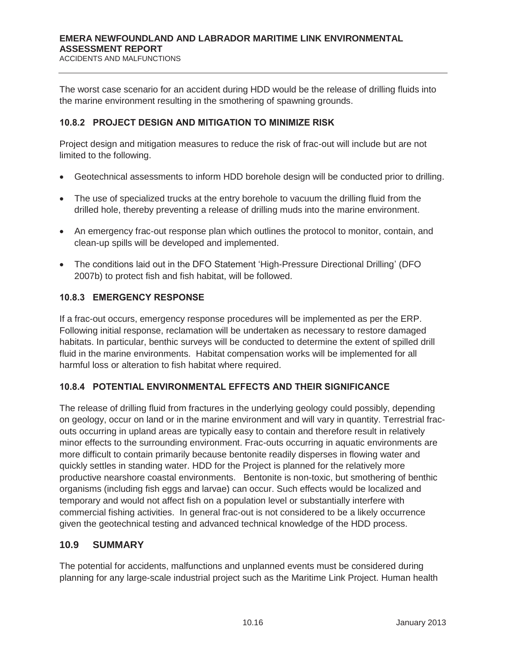The worst case scenario for an accident during HDD would be the release of drilling fluids into the marine environment resulting in the smothering of spawning grounds.

#### **10.8.2 PROJECT DESIGN AND MITIGATION TO MINIMIZE RISK**

Project design and mitigation measures to reduce the risk of frac-out will include but are not limited to the following.

- Geotechnical assessments to inform HDD borehole design will be conducted prior to drilling.
- The use of specialized trucks at the entry borehole to vacuum the drilling fluid from the drilled hole, thereby preventing a release of drilling muds into the marine environment.
- An emergency frac-out response plan which outlines the protocol to monitor, contain, and clean-up spills will be developed and implemented.
- The conditions laid out in the DFO Statement 'High-Pressure Directional Drilling' (DFO 2007b) to protect fish and fish habitat, will be followed.

#### **10.8.3 EMERGENCY RESPONSE**

If a frac-out occurs, emergency response procedures will be implemented as per the ERP. Following initial response, reclamation will be undertaken as necessary to restore damaged habitats. In particular, benthic surveys will be conducted to determine the extent of spilled drill fluid in the marine environments. Habitat compensation works will be implemented for all harmful loss or alteration to fish habitat where required.

## **10.8.4 POTENTIAL ENVIRONMENTAL EFFECTS AND THEIR SIGNIFICANCE**

The release of drilling fluid from fractures in the underlying geology could possibly, depending on geology, occur on land or in the marine environment and will vary in quantity. Terrestrial fracouts occurring in upland areas are typically easy to contain and therefore result in relatively minor effects to the surrounding environment. Frac-outs occurring in aquatic environments are more difficult to contain primarily because bentonite readily disperses in flowing water and quickly settles in standing water. HDD for the Project is planned for the relatively more productive nearshore coastal environments. Bentonite is non-toxic, but smothering of benthic organisms (including fish eggs and larvae) can occur. Such effects would be localized and temporary and would not affect fish on a population level or substantially interfere with commercial fishing activities. In general frac-out is not considered to be a likely occurrence given the geotechnical testing and advanced technical knowledge of the HDD process.

#### **10.9 SUMMARY**

The potential for accidents, malfunctions and unplanned events must be considered during planning for any large-scale industrial project such as the Maritime Link Project. Human health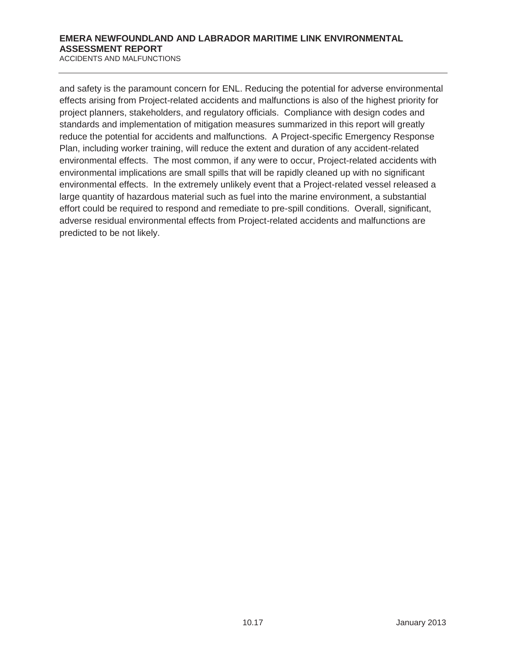ACCIDENTS AND MALFUNCTIONS

and safety is the paramount concern for ENL. Reducing the potential for adverse environmental effects arising from Project-related accidents and malfunctions is also of the highest priority for project planners, stakeholders, and regulatory officials. Compliance with design codes and standards and implementation of mitigation measures summarized in this report will greatly reduce the potential for accidents and malfunctions. A Project-specific Emergency Response Plan, including worker training, will reduce the extent and duration of any accident-related environmental effects. The most common, if any were to occur, Project-related accidents with environmental implications are small spills that will be rapidly cleaned up with no significant environmental effects. In the extremely unlikely event that a Project-related vessel released a large quantity of hazardous material such as fuel into the marine environment, a substantial effort could be required to respond and remediate to pre-spill conditions. Overall, significant, adverse residual environmental effects from Project-related accidents and malfunctions are predicted to be not likely.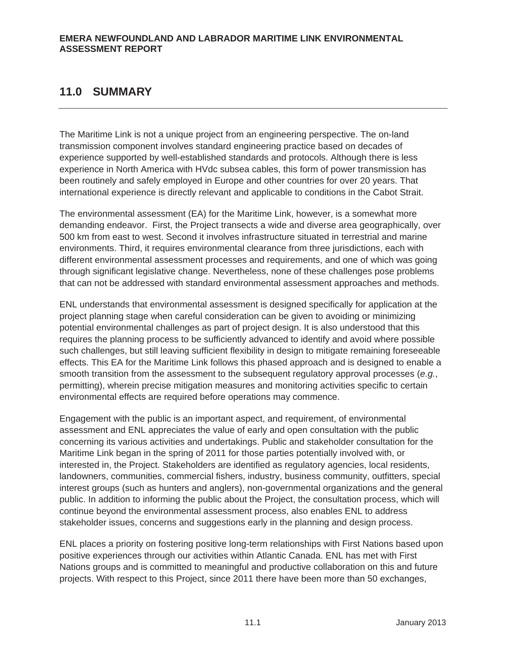# **11.0 SUMMARY**

The Maritime Link is not a unique project from an engineering perspective. The on-land transmission component involves standard engineering practice based on decades of experience supported by well-established standards and protocols. Although there is less experience in North America with HVdc subsea cables, this form of power transmission has been routinely and safely employed in Europe and other countries for over 20 years. That international experience is directly relevant and applicable to conditions in the Cabot Strait.

The environmental assessment (EA) for the Maritime Link, however, is a somewhat more demanding endeavor. First, the Project transects a wide and diverse area geographically, over 500 km from east to west. Second it involves infrastructure situated in terrestrial and marine environments. Third, it requires environmental clearance from three jurisdictions, each with different environmental assessment processes and requirements, and one of which was going through significant legislative change. Nevertheless, none of these challenges pose problems that can not be addressed with standard environmental assessment approaches and methods.

ENL understands that environmental assessment is designed specifically for application at the project planning stage when careful consideration can be given to avoiding or minimizing potential environmental challenges as part of project design. It is also understood that this requires the planning process to be sufficiently advanced to identify and avoid where possible such challenges, but still leaving sufficient flexibility in design to mitigate remaining foreseeable effects. This EA for the Maritime Link follows this phased approach and is designed to enable a smooth transition from the assessment to the subsequent regulatory approval processes (*e.g.*, permitting), wherein precise mitigation measures and monitoring activities specific to certain environmental effects are required before operations may commence.

Engagement with the public is an important aspect, and requirement, of environmental assessment and ENL appreciates the value of early and open consultation with the public concerning its various activities and undertakings. Public and stakeholder consultation for the Maritime Link began in the spring of 2011 for those parties potentially involved with, or interested in, the Project. Stakeholders are identified as regulatory agencies, local residents, landowners, communities, commercial fishers, industry, business community, outfitters, special interest groups (such as hunters and anglers), non-governmental organizations and the general public. In addition to informing the public about the Project, the consultation process, which will continue beyond the environmental assessment process, also enables ENL to address stakeholder issues, concerns and suggestions early in the planning and design process.

ENL places a priority on fostering positive long-term relationships with First Nations based upon positive experiences through our activities within Atlantic Canada. ENL has met with First Nations groups and is committed to meaningful and productive collaboration on this and future projects. With respect to this Project, since 2011 there have been more than 50 exchanges,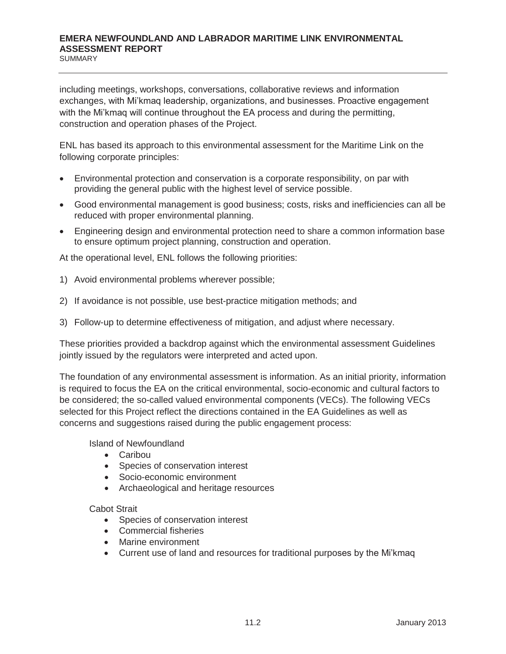SUMMARY

including meetings, workshops, conversations, collaborative reviews and information exchanges, with Mi'kmaq leadership, organizations, and businesses. Proactive engagement with the Mi'kmaq will continue throughout the EA process and during the permitting, construction and operation phases of the Project.

ENL has based its approach to this environmental assessment for the Maritime Link on the following corporate principles:

- x Environmental protection and conservation is a corporate responsibility, on par with providing the general public with the highest level of service possible.
- Good environmental management is good business; costs, risks and inefficiencies can all be reduced with proper environmental planning.
- Engineering design and environmental protection need to share a common information base to ensure optimum project planning, construction and operation.

At the operational level, ENL follows the following priorities:

- 1) Avoid environmental problems wherever possible;
- 2) If avoidance is not possible, use best-practice mitigation methods; and
- 3) Follow-up to determine effectiveness of mitigation, and adjust where necessary.

These priorities provided a backdrop against which the environmental assessment Guidelines jointly issued by the regulators were interpreted and acted upon.

The foundation of any environmental assessment is information. As an initial priority, information is required to focus the EA on the critical environmental, socio-economic and cultural factors to be considered; the so-called valued environmental components (VECs). The following VECs selected for this Project reflect the directions contained in the EA Guidelines as well as concerns and suggestions raised during the public engagement process:

Island of Newfoundland

- $\bullet$  Caribou
- Species of conservation interest
- Socio-economic environment
- Archaeological and heritage resources

#### Cabot Strait

- Species of conservation interest
- Commercial fisheries
- Marine environment
- Current use of land and resources for traditional purposes by the Mi'kmaq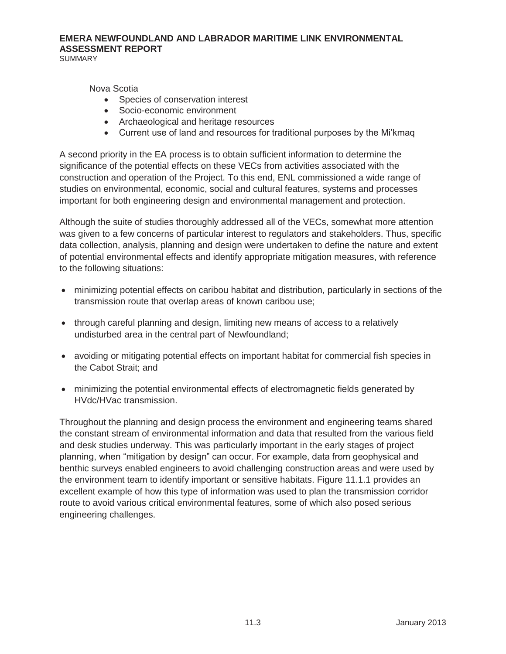Nova Scotia

- Species of conservation interest
- Socio-economic environment
- Archaeological and heritage resources
- Current use of land and resources for traditional purposes by the Mi'kmag

A second priority in the EA process is to obtain sufficient information to determine the significance of the potential effects on these VECs from activities associated with the construction and operation of the Project. To this end, ENL commissioned a wide range of studies on environmental, economic, social and cultural features, systems and processes important for both engineering design and environmental management and protection.

Although the suite of studies thoroughly addressed all of the VECs, somewhat more attention was given to a few concerns of particular interest to regulators and stakeholders. Thus, specific data collection, analysis, planning and design were undertaken to define the nature and extent of potential environmental effects and identify appropriate mitigation measures, with reference to the following situations:

- minimizing potential effects on caribou habitat and distribution, particularly in sections of the transmission route that overlap areas of known caribou use;
- through careful planning and design, limiting new means of access to a relatively undisturbed area in the central part of Newfoundland;
- avoiding or mitigating potential effects on important habitat for commercial fish species in the Cabot Strait; and
- minimizing the potential environmental effects of electromagnetic fields generated by HVdc/HVac transmission.

Throughout the planning and design process the environment and engineering teams shared the constant stream of environmental information and data that resulted from the various field and desk studies underway. This was particularly important in the early stages of project planning, when "mitigation by design" can occur. For example, data from geophysical and benthic surveys enabled engineers to avoid challenging construction areas and were used by the environment team to identify important or sensitive habitats. Figure 11.1.1 provides an excellent example of how this type of information was used to plan the transmission corridor route to avoid various critical environmental features, some of which also posed serious engineering challenges.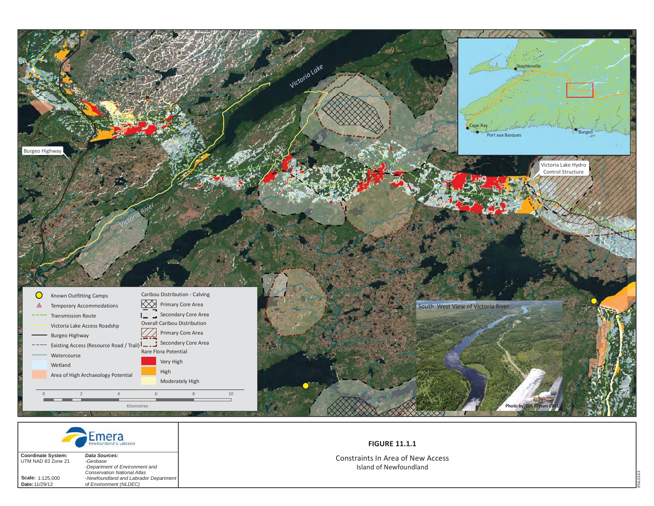



**Scale:** 1:125,000 **Date:**11/29/12

 *-Department of Environment and Conservation National Atlas -Newfoundland and Labrador Department of Environment (NLDEC)*

#### **FIGURE 11.1.1**

Constraints In Area of New Access Island of Newfoundland

ENL0143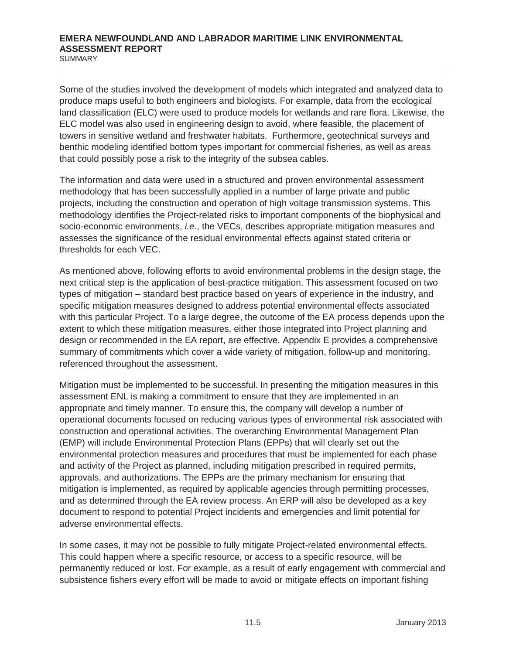Some of the studies involved the development of models which integrated and analyzed data to produce maps useful to both engineers and biologists. For example, data from the ecological land classification (ELC) were used to produce models for wetlands and rare flora. Likewise, the ELC model was also used in engineering design to avoid, where feasible, the placement of towers in sensitive wetland and freshwater habitats. Furthermore, geotechnical surveys and benthic modeling identified bottom types important for commercial fisheries, as well as areas that could possibly pose a risk to the integrity of the subsea cables.

The information and data were used in a structured and proven environmental assessment methodology that has been successfully applied in a number of large private and public projects, including the construction and operation of high voltage transmission systems. This methodology identifies the Project-related risks to important components of the biophysical and socio-economic environments, *i.e.*, the VECs, describes appropriate mitigation measures and assesses the significance of the residual environmental effects against stated criteria or thresholds for each VEC.

As mentioned above, following efforts to avoid environmental problems in the design stage, the next critical step is the application of best-practice mitigation. This assessment focused on two types of mitigation – standard best practice based on years of experience in the industry, and specific mitigation measures designed to address potential environmental effects associated with this particular Project. To a large degree, the outcome of the EA process depends upon the extent to which these mitigation measures, either those integrated into Project planning and design or recommended in the EA report, are effective. Appendix E provides a comprehensive summary of commitments which cover a wide variety of mitigation, follow-up and monitoring, referenced throughout the assessment.

Mitigation must be implemented to be successful. In presenting the mitigation measures in this assessment ENL is making a commitment to ensure that they are implemented in an appropriate and timely manner. To ensure this, the company will develop a number of operational documents focused on reducing various types of environmental risk associated with construction and operational activities. The overarching Environmental Management Plan (EMP) will include Environmental Protection Plans (EPPs) that will clearly set out the environmental protection measures and procedures that must be implemented for each phase and activity of the Project as planned, including mitigation prescribed in required permits, approvals, and authorizations. The EPPs are the primary mechanism for ensuring that mitigation is implemented, as required by applicable agencies through permitting processes, and as determined through the EA review process. An ERP will also be developed as a key document to respond to potential Project incidents and emergencies and limit potential for adverse environmental effects.

In some cases, it may not be possible to fully mitigate Project-related environmental effects. This could happen where a specific resource, or access to a specific resource, will be permanently reduced or lost. For example, as a result of early engagement with commercial and subsistence fishers every effort will be made to avoid or mitigate effects on important fishing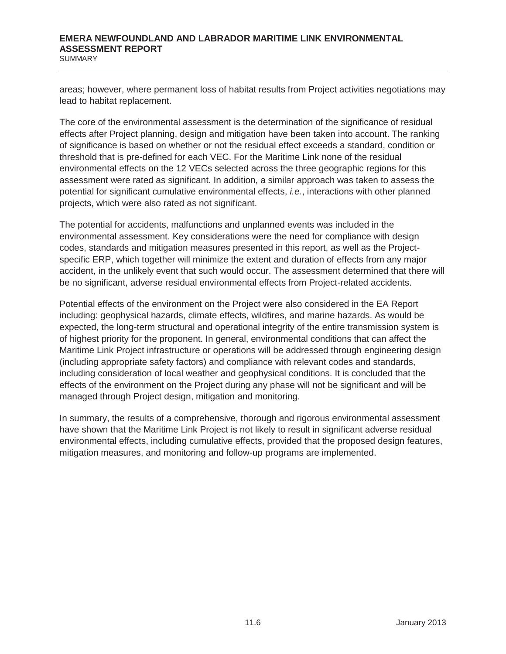areas; however, where permanent loss of habitat results from Project activities negotiations may lead to habitat replacement.

The core of the environmental assessment is the determination of the significance of residual effects after Project planning, design and mitigation have been taken into account. The ranking of significance is based on whether or not the residual effect exceeds a standard, condition or threshold that is pre-defined for each VEC. For the Maritime Link none of the residual environmental effects on the 12 VECs selected across the three geographic regions for this assessment were rated as significant. In addition, a similar approach was taken to assess the potential for significant cumulative environmental effects, *i.e.*, interactions with other planned projects, which were also rated as not significant.

The potential for accidents, malfunctions and unplanned events was included in the environmental assessment. Key considerations were the need for compliance with design codes, standards and mitigation measures presented in this report, as well as the Projectspecific ERP, which together will minimize the extent and duration of effects from any major accident, in the unlikely event that such would occur. The assessment determined that there will be no significant, adverse residual environmental effects from Project-related accidents.

Potential effects of the environment on the Project were also considered in the EA Report including: geophysical hazards, climate effects, wildfires, and marine hazards. As would be expected, the long-term structural and operational integrity of the entire transmission system is of highest priority for the proponent. In general, environmental conditions that can affect the Maritime Link Project infrastructure or operations will be addressed through engineering design (including appropriate safety factors) and compliance with relevant codes and standards, including consideration of local weather and geophysical conditions. It is concluded that the effects of the environment on the Project during any phase will not be significant and will be managed through Project design, mitigation and monitoring.

In summary, the results of a comprehensive, thorough and rigorous environmental assessment have shown that the Maritime Link Project is not likely to result in significant adverse residual environmental effects, including cumulative effects, provided that the proposed design features, mitigation measures, and monitoring and follow-up programs are implemented.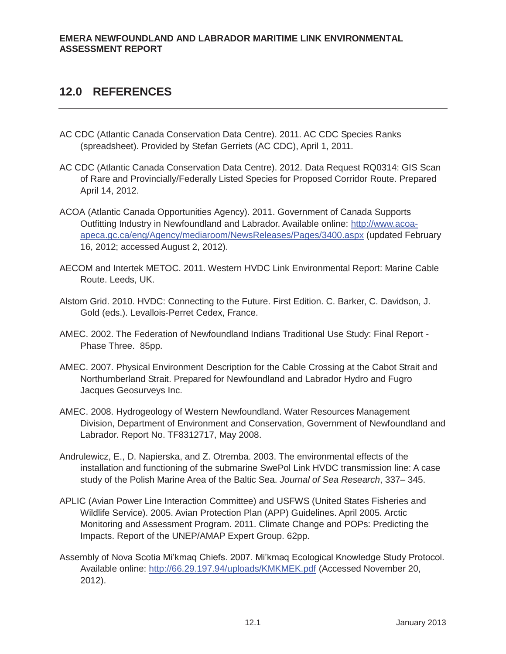# **12.0 REFERENCES**

- AC CDC (Atlantic Canada Conservation Data Centre). 2011. AC CDC Species Ranks (spreadsheet). Provided by Stefan Gerriets (AC CDC), April 1, 2011.
- AC CDC (Atlantic Canada Conservation Data Centre). 2012. Data Request RQ0314: GIS Scan of Rare and Provincially/Federally Listed Species for Proposed Corridor Route. Prepared April 14, 2012.
- ACOA (Atlantic Canada Opportunities Agency). 2011. Government of Canada Supports Outfitting Industry in Newfoundland and Labrador. Available online: http://www.acoaapeca.gc.ca/eng/Agency/mediaroom/NewsReleases/Pages/3400.aspx (updated February 16, 2012; accessed August 2, 2012).
- AECOM and Intertek METOC. 2011. Western HVDC Link Environmental Report: Marine Cable Route. Leeds, UK.
- Alstom Grid. 2010. HVDC: Connecting to the Future. First Edition. C. Barker, C. Davidson, J. Gold (eds.). Levallois-Perret Cedex, France.
- AMEC. 2002. The Federation of Newfoundland Indians Traditional Use Study: Final Report Phase Three. 85pp.
- AMEC. 2007. Physical Environment Description for the Cable Crossing at the Cabot Strait and Northumberland Strait. Prepared for Newfoundland and Labrador Hydro and Fugro Jacques Geosurveys Inc.
- AMEC. 2008. Hydrogeology of Western Newfoundland. Water Resources Management Division, Department of Environment and Conservation, Government of Newfoundland and Labrador. Report No. TF8312717, May 2008.
- Andrulewicz, E., D. Napierska, and Z. Otremba. 2003. The environmental effects of the installation and functioning of the submarine SwePol Link HVDC transmission line: A case study of the Polish Marine Area of the Baltic Sea. *Journal of Sea Research*, 337– 345.
- APLIC (Avian Power Line Interaction Committee) and USFWS (United States Fisheries and Wildlife Service). 2005. Avian Protection Plan (APP) Guidelines. April 2005. Arctic Monitoring and Assessment Program. 2011. Climate Change and POPs: Predicting the Impacts. Report of the UNEP/AMAP Expert Group. 62pp.
- Assembly of Nova Scotia Mi'kmaq Chiefs. 2007. Mi'kmaq Ecological Knowledge Study Protocol. Available online: http://66.29.197.94/uploads/KMKMEK.pdf (Accessed November 20, 2012).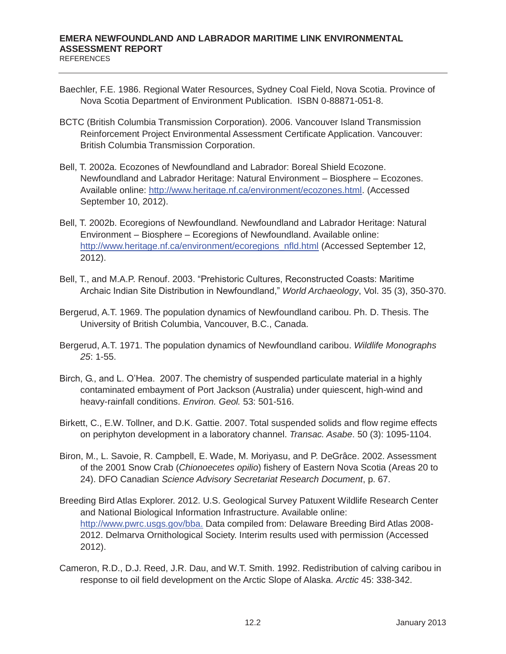- Baechler, F.E. 1986. Regional Water Resources, Sydney Coal Field, Nova Scotia. Province of Nova Scotia Department of Environment Publication. ISBN 0-88871-051-8.
- BCTC (British Columbia Transmission Corporation). 2006. Vancouver Island Transmission Reinforcement Project Environmental Assessment Certificate Application. Vancouver: British Columbia Transmission Corporation.
- Bell, T. 2002a. Ecozones of Newfoundland and Labrador: Boreal Shield Ecozone. Newfoundland and Labrador Heritage: Natural Environment – Biosphere – Ecozones. Available online: http://www.heritage.nf.ca/environment/ecozones.html. (Accessed September 10, 2012).
- Bell, T. 2002b. Ecoregions of Newfoundland. Newfoundland and Labrador Heritage: Natural Environment – Biosphere – Ecoregions of Newfoundland. Available online: http://www.heritage.nf.ca/environment/ecoregions\_nfld.html (Accessed September 12, 2012).
- Bell, T., and M.A.P. Renouf. 2003. "Prehistoric Cultures, Reconstructed Coasts: Maritime Archaic Indian Site Distribution in Newfoundland," *World Archaeology*, Vol. 35 (3), 350-370.
- Bergerud, A.T. 1969. The population dynamics of Newfoundland caribou. Ph. D. Thesis. The University of British Columbia, Vancouver, B.C., Canada.
- Bergerud, A.T. 1971. The population dynamics of Newfoundland caribou. *Wildlife Monographs 25*: 1-55.
- Birch, G., and L. O'Hea. 2007. The chemistry of suspended particulate material in a highly contaminated embayment of Port Jackson (Australia) under quiescent, high-wind and heavy-rainfall conditions. *Environ. Geol.* 53: 501-516.
- Birkett, C., E.W. Tollner, and D.K. Gattie. 2007. Total suspended solids and flow regime effects on periphyton development in a laboratory channel. *Transac. Asabe*. 50 (3): 1095-1104.
- Biron, M., L. Savoie, R. Campbell, E. Wade, M. Moriyasu, and P. DeGrâce. 2002. Assessment of the 2001 Snow Crab (*Chionoecetes opilio*) fishery of Eastern Nova Scotia (Areas 20 to 24). DFO Canadian *Science Advisory Secretariat Research Document*, p. 67.
- Breeding Bird Atlas Explorer. 2012. U.S. Geological Survey Patuxent Wildlife Research Center and National Biological Information Infrastructure. Available online: http://www.pwrc.usgs.gov/bba. Data compiled from: Delaware Breeding Bird Atlas 2008- 2012. Delmarva Ornithological Society. Interim results used with permission (Accessed 2012).
- Cameron, R.D., D.J. Reed, J.R. Dau, and W.T. Smith. 1992. Redistribution of calving caribou in response to oil field development on the Arctic Slope of Alaska. *Arctic* 45: 338-342.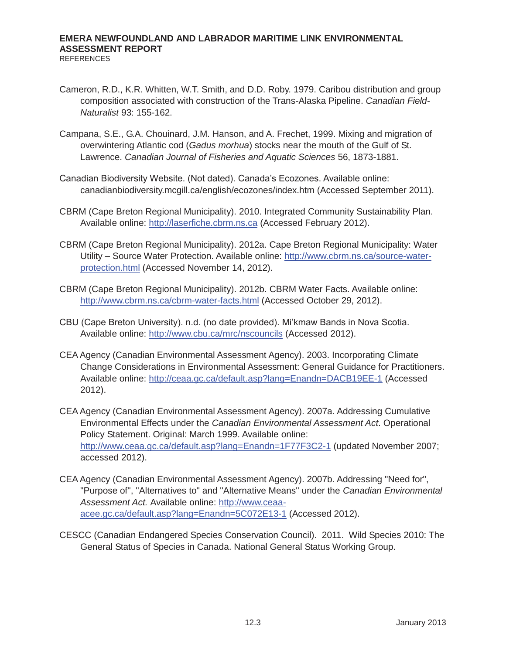- Cameron, R.D., K.R. Whitten, W.T. Smith, and D.D. Roby. 1979. Caribou distribution and group composition associated with construction of the Trans-Alaska Pipeline. *Canadian Field-Naturalist* 93: 155-162.
- Campana, S.E., G.A. Chouinard, J.M. Hanson, and A. Frechet, 1999. Mixing and migration of overwintering Atlantic cod (*Gadus morhua*) stocks near the mouth of the Gulf of St. Lawrence. *Canadian Journal of Fisheries and Aquatic Sciences* 56, 1873-1881.
- Canadian Biodiversity Website. (Not dated). Canada's Ecozones. Available online: canadianbiodiversity.mcgill.ca/english/ecozones/index.htm (Accessed September 2011).
- CBRM (Cape Breton Regional Municipality). 2010. Integrated Community Sustainability Plan. Available online: http://laserfiche.cbrm.ns.ca (Accessed February 2012).
- CBRM (Cape Breton Regional Municipality). 2012a. Cape Breton Regional Municipality: Water Utility – Source Water Protection. Available online: http://www.cbrm.ns.ca/source-waterprotection.html (Accessed November 14, 2012).
- CBRM (Cape Breton Regional Municipality). 2012b. CBRM Water Facts. Available online: http://www.cbrm.ns.ca/cbrm-water-facts.html (Accessed October 29, 2012).
- CBU (Cape Breton University). n.d. (no date provided). Mi'kmaw Bands in Nova Scotia. Available online: http://www.cbu.ca/mrc/nscouncils (Accessed 2012).
- CEA Agency (Canadian Environmental Assessment Agency). 2003. Incorporating Climate Change Considerations in Environmental Assessment: General Guidance for Practitioners. Available online: http://ceaa.gc.ca/default.asp?lang=Enandn=DACB19EE-1 (Accessed 2012).
- CEA Agency (Canadian Environmental Assessment Agency). 2007a. Addressing Cumulative Environmental Effects under the *Canadian Environmental Assessment Act*. Operational Policy Statement. Original: March 1999. Available online: http://www.ceaa.gc.ca/default.asp?lang=Enandn=1F77F3C2-1 (updated November 2007; accessed 2012).
- CEA Agency (Canadian Environmental Assessment Agency). 2007b. Addressing "Need for", "Purpose of", "Alternatives to" and "Alternative Means" under the *Canadian Environmental Assessment Act.* Available online: http://www.ceaaacee.gc.ca/default.asp?lang=Enandn=5C072E13-1 (Accessed 2012).
- CESCC (Canadian Endangered Species Conservation Council). 2011. Wild Species 2010: The General Status of Species in Canada. National General Status Working Group.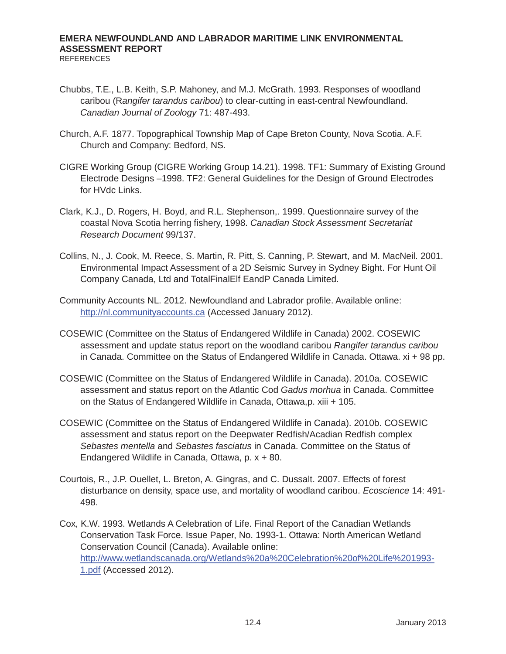- Chubbs, T.E., L.B. Keith, S.P. Mahoney, and M.J. McGrath. 1993. Responses of woodland caribou (R*angifer tarandus caribou*) to clear-cutting in east-central Newfoundland. *Canadian Journal of Zoology* 71: 487-493.
- Church, A.F. 1877. Topographical Township Map of Cape Breton County, Nova Scotia. A.F. Church and Company: Bedford, NS.
- CIGRE Working Group (CIGRE Working Group 14.21). 1998. TF1: Summary of Existing Ground Electrode Designs –1998. TF2: General Guidelines for the Design of Ground Electrodes for HVdc Links.
- Clark, K.J., D. Rogers, H. Boyd, and R.L. Stephenson,. 1999. Questionnaire survey of the coastal Nova Scotia herring fishery, 1998. *Canadian Stock Assessment Secretariat Research Document* 99/137.
- Collins, N., J. Cook, M. Reece, S. Martin, R. Pitt, S. Canning, P. Stewart, and M. MacNeil. 2001. Environmental Impact Assessment of a 2D Seismic Survey in Sydney Bight. For Hunt Oil Company Canada, Ltd and TotalFinalElf EandP Canada Limited.
- Community Accounts NL. 2012. Newfoundland and Labrador profile. Available online: http://nl.communityaccounts.ca (Accessed January 2012).
- COSEWIC (Committee on the Status of Endangered Wildlife in Canada) 2002. COSEWIC assessment and update status report on the woodland caribou *Rangifer tarandus caribou* in Canada. Committee on the Status of Endangered Wildlife in Canada. Ottawa. xi + 98 pp.
- COSEWIC (Committee on the Status of Endangered Wildlife in Canada). 2010a. COSEWIC assessment and status report on the Atlantic Cod *Gadus morhua* in Canada. Committee on the Status of Endangered Wildlife in Canada, Ottawa,p. xiii + 105.
- COSEWIC (Committee on the Status of Endangered Wildlife in Canada). 2010b. COSEWIC assessment and status report on the Deepwater Redfish/Acadian Redfish complex *Sebastes mentella* and *Sebastes fasciatus* in Canada. Committee on the Status of Endangered Wildlife in Canada, Ottawa, p. x + 80.
- Courtois, R., J.P. Ouellet, L. Breton, A. Gingras, and C. Dussalt. 2007. Effects of forest disturbance on density, space use, and mortality of woodland caribou. *Ecoscience* 14: 491- 498.
- Cox, K.W. 1993. Wetlands A Celebration of Life. Final Report of the Canadian Wetlands Conservation Task Force. Issue Paper, No. 1993-1. Ottawa: North American Wetland Conservation Council (Canada). Available online: http://www.wetlandscanada.org/Wetlands%20a%20Celebration%20of%20Life%201993- 1.pdf (Accessed 2012).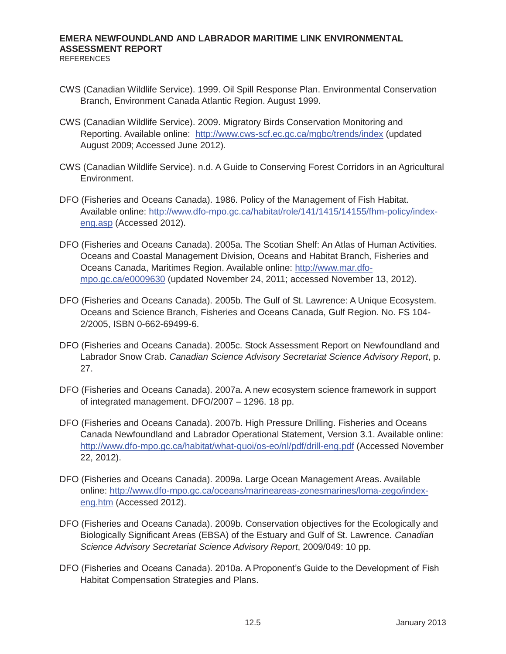- CWS (Canadian Wildlife Service). 1999. Oil Spill Response Plan. Environmental Conservation Branch, Environment Canada Atlantic Region. August 1999.
- CWS (Canadian Wildlife Service). 2009. Migratory Birds Conservation Monitoring and Reporting. Available online: http://www.cws-scf.ec.gc.ca/mgbc/trends/index (updated August 2009; Accessed June 2012).
- CWS (Canadian Wildlife Service). n.d. A Guide to Conserving Forest Corridors in an Agricultural Environment.
- DFO (Fisheries and Oceans Canada). 1986. Policy of the Management of Fish Habitat. Available online: http://www.dfo-mpo.gc.ca/habitat/role/141/1415/14155/fhm-policy/indexeng.asp (Accessed 2012).
- DFO (Fisheries and Oceans Canada). 2005a. The Scotian Shelf: An Atlas of Human Activities. Oceans and Coastal Management Division, Oceans and Habitat Branch, Fisheries and Oceans Canada, Maritimes Region. Available online: http://www.mar.dfompo.gc.ca/e0009630 (updated November 24, 2011; accessed November 13, 2012).
- DFO (Fisheries and Oceans Canada). 2005b. The Gulf of St. Lawrence: A Unique Ecosystem. Oceans and Science Branch, Fisheries and Oceans Canada, Gulf Region. No. FS 104- 2/2005, ISBN 0-662-69499-6.
- DFO (Fisheries and Oceans Canada). 2005c. Stock Assessment Report on Newfoundland and Labrador Snow Crab. *Canadian Science Advisory Secretariat Science Advisory Report*, p. 27.
- DFO (Fisheries and Oceans Canada). 2007a. A new ecosystem science framework in support of integrated management. DFO/2007 – 1296. 18 pp.
- DFO (Fisheries and Oceans Canada). 2007b. High Pressure Drilling. Fisheries and Oceans Canada Newfoundland and Labrador Operational Statement, Version 3.1. Available online: http://www.dfo-mpo.gc.ca/habitat/what-quoi/os-eo/nl/pdf/drill-eng.pdf (Accessed November 22, 2012).
- DFO (Fisheries and Oceans Canada). 2009a. Large Ocean Management Areas. Available online: http://www.dfo-mpo.gc.ca/oceans/marineareas-zonesmarines/loma-zego/indexeng.htm (Accessed 2012).
- DFO (Fisheries and Oceans Canada). 2009b. Conservation objectives for the Ecologically and Biologically Significant Areas (EBSA) of the Estuary and Gulf of St. Lawrence*. Canadian Science Advisory Secretariat Science Advisory Report*, 2009/049: 10 pp.
- DFO (Fisheries and Oceans Canada). 2010a. A Proponent's Guide to the Development of Fish Habitat Compensation Strategies and Plans.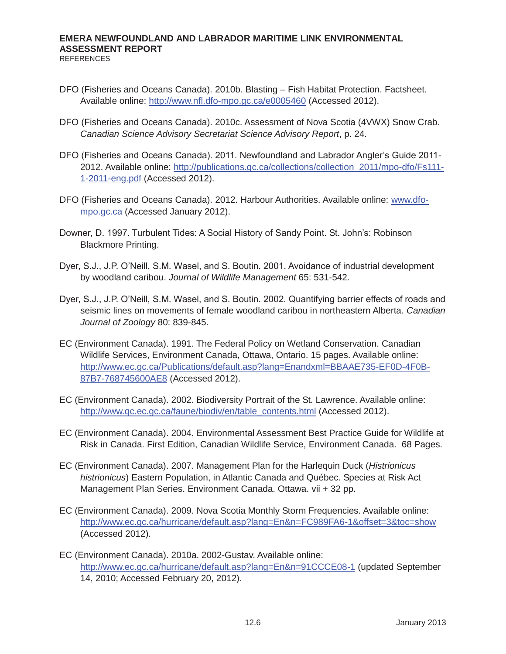- DFO (Fisheries and Oceans Canada). 2010b. Blasting Fish Habitat Protection. Factsheet. Available online: http://www.nfl.dfo-mpo.gc.ca/e0005460 (Accessed 2012).
- DFO (Fisheries and Oceans Canada). 2010c. Assessment of Nova Scotia (4VWX) Snow Crab. *Canadian Science Advisory Secretariat Science Advisory Report*, p. 24.
- DFO (Fisheries and Oceans Canada). 2011. Newfoundland and Labrador Angler's Guide 2011- 2012. Available online: http://publications.gc.ca/collections/collection\_2011/mpo-dfo/Fs111- 1-2011-eng.pdf (Accessed 2012).
- DFO (Fisheries and Oceans Canada). 2012. Harbour Authorities. Available online: www.dfompo.gc.ca (Accessed January 2012).
- Downer, D. 1997. Turbulent Tides: A Social History of Sandy Point. St. John's: Robinson Blackmore Printing.
- Dyer, S.J., J.P. O'Neill, S.M. Wasel, and S. Boutin. 2001. Avoidance of industrial development by woodland caribou. *Journal of Wildlife Management* 65: 531-542.
- Dyer, S.J., J.P. O'Neill, S.M. Wasel, and S. Boutin. 2002. Quantifying barrier effects of roads and seismic lines on movements of female woodland caribou in northeastern Alberta. *Canadian Journal of Zoology* 80: 839-845.
- EC (Environment Canada). 1991. The Federal Policy on Wetland Conservation. Canadian Wildlife Services, Environment Canada, Ottawa, Ontario. 15 pages. Available online: http://www.ec.gc.ca/Publications/default.asp?lang=Enandxml=BBAAE735-EF0D-4F0B-87B7-768745600AE8 (Accessed 2012).
- EC (Environment Canada). 2002. Biodiversity Portrait of the St. Lawrence. Available online: http://www.qc.ec.gc.ca/faune/biodiv/en/table\_contents.html (Accessed 2012).
- EC (Environment Canada). 2004. Environmental Assessment Best Practice Guide for Wildlife at Risk in Canada. First Edition, Canadian Wildlife Service, Environment Canada. 68 Pages.
- EC (Environment Canada). 2007. Management Plan for the Harlequin Duck (*Histrionicus histrionicus*) Eastern Population, in Atlantic Canada and Québec. Species at Risk Act Management Plan Series. Environment Canada. Ottawa. vii + 32 pp.
- EC (Environment Canada). 2009. Nova Scotia Monthly Storm Frequencies. Available online: http://www.ec.gc.ca/hurricane/default.asp?lang=En&n=FC989FA6-1&offset=3&toc=show (Accessed 2012).
- EC (Environment Canada). 2010a. 2002-Gustav. Available online: http://www.ec.gc.ca/hurricane/default.asp?lang=En&n=91CCCE08-1 (updated September 14, 2010; Accessed February 20, 2012).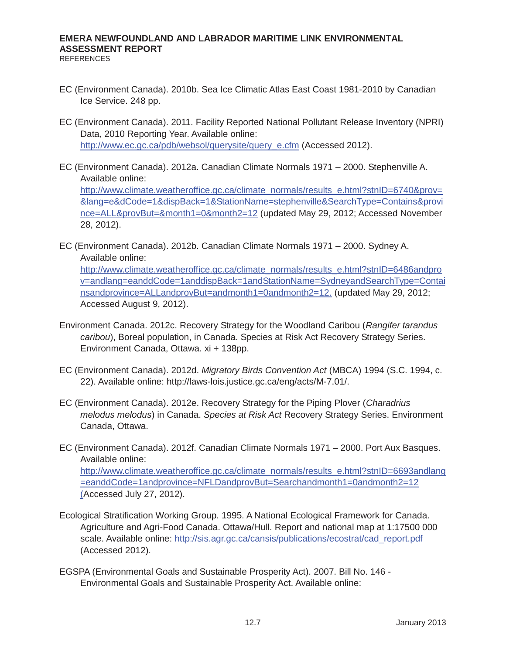- EC (Environment Canada). 2010b. Sea Ice Climatic Atlas East Coast 1981-2010 by Canadian Ice Service. 248 pp.
- EC (Environment Canada). 2011. Facility Reported National Pollutant Release Inventory (NPRI) Data, 2010 Reporting Year. Available online: http://www.ec.gc.ca/pdb/websol/querysite/query\_e.cfm (Accessed 2012).
- EC (Environment Canada). 2012a. Canadian Climate Normals 1971 2000. Stephenville A. Available online: http://www.climate.weatheroffice.gc.ca/climate\_normals/results\_e.html?stnID=6740&prov= &lang=e&dCode=1&dispBack=1&StationName=stephenville&SearchType=Contains&provi nce=ALL&provBut=&month1=0&month2=12 (updated May 29, 2012; Accessed November 28, 2012).
- EC (Environment Canada). 2012b. Canadian Climate Normals 1971 2000. Sydney A. Available online: http://www.climate.weatheroffice.gc.ca/climate\_normals/results\_e.html?stnID=6486andpro v=andlang=eanddCode=1anddispBack=1andStationName=SydneyandSearchType=Contai nsandprovince=ALLandprovBut=andmonth1=0andmonth2=12. (updated May 29, 2012; Accessed August 9, 2012).
- Environment Canada. 2012c. Recovery Strategy for the Woodland Caribou (*Rangifer tarandus caribou*), Boreal population, in Canada. Species at Risk Act Recovery Strategy Series. Environment Canada, Ottawa. xi + 138pp.
- EC (Environment Canada). 2012d. *Migratory Birds Convention Act* (MBCA) 1994 (S.C. 1994, c. 22). Available online: http://laws-lois.justice.gc.ca/eng/acts/M-7.01/.
- EC (Environment Canada). 2012e. Recovery Strategy for the Piping Plover (*Charadrius melodus melodus*) in Canada. *Species at Risk Act* Recovery Strategy Series. Environment Canada, Ottawa.
- EC (Environment Canada). 2012f. Canadian Climate Normals 1971 2000. Port Aux Basques. Available online: http://www.climate.weatheroffice.gc.ca/climate\_normals/results\_e.html?stnID=6693andlang =eanddCode=1andprovince=NFLDandprovBut=Searchandmonth1=0andmonth2=12 (Accessed July 27, 2012).
- Ecological Stratification Working Group. 1995. A National Ecological Framework for Canada. Agriculture and Agri-Food Canada. Ottawa/Hull. Report and national map at 1:17500 000 scale. Available online: http://sis.agr.gc.ca/cansis/publications/ecostrat/cad\_report.pdf (Accessed 2012).
- EGSPA (Environmental Goals and Sustainable Prosperity Act). 2007. Bill No. 146 Environmental Goals and Sustainable Prosperity Act. Available online: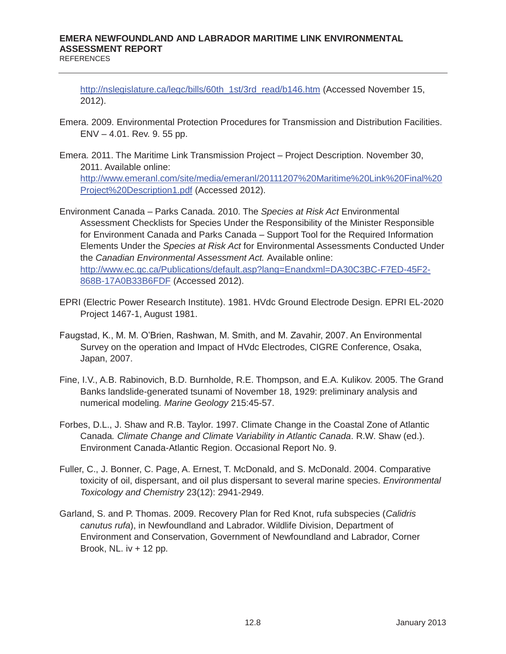http://nslegislature.ca/legc/bills/60th\_1st/3rd\_read/b146.htm (Accessed November 15, 2012).

- Emera. 2009. Environmental Protection Procedures for Transmission and Distribution Facilities. ENV – 4.01. Rev. 9. 55 pp.
- Emera. 2011. The Maritime Link Transmission Project Project Description. November 30, 2011. Available online: http://www.emeranl.com/site/media/emeranl/20111207%20Maritime%20Link%20Final%20 Project%20Description1.pdf (Accessed 2012).
- Environment Canada Parks Canada. 2010. The *Species at Risk Act* Environmental Assessment Checklists for Species Under the Responsibility of the Minister Responsible for Environment Canada and Parks Canada – Support Tool for the Required Information Elements Under the *Species at Risk Act* for Environmental Assessments Conducted Under the *Canadian Environmental Assessment Act.* Available online: http://www.ec.gc.ca/Publications/default.asp?lang=Enandxml=DA30C3BC-F7ED-45F2- 868B-17A0B33B6FDF (Accessed 2012).
- EPRI (Electric Power Research Institute). 1981. HVdc Ground Electrode Design. EPRI EL-2020 Project 1467-1, August 1981.
- Faugstad, K., M. M. O'Brien, Rashwan, M. Smith, and M. Zavahir, 2007. An Environmental Survey on the operation and Impact of HVdc Electrodes, CIGRE Conference, Osaka, Japan, 2007.
- Fine, I.V., A.B. Rabinovich, B.D. Burnholde, R.E. Thompson, and E.A. Kulikov. 2005. The Grand Banks landslide-generated tsunami of November 18, 1929: preliminary analysis and numerical modeling*. Marine Geology* 215:45-57.
- Forbes, D.L., J. Shaw and R.B. Taylor. 1997. Climate Change in the Coastal Zone of Atlantic Canada*. Climate Change and Climate Variability in Atlantic Canada*. R.W. Shaw (ed.). Environment Canada-Atlantic Region. Occasional Report No. 9.
- Fuller, C., J. Bonner, C. Page, A. Ernest, T. McDonald, and S. McDonald. 2004. Comparative toxicity of oil, dispersant, and oil plus dispersant to several marine species. *Environmental Toxicology and Chemistry* 23(12): 2941-2949.
- Garland, S. and P. Thomas. 2009. Recovery Plan for Red Knot, rufa subspecies (*Calidris canutus rufa*), in Newfoundland and Labrador. Wildlife Division, Department of Environment and Conservation, Government of Newfoundland and Labrador, Corner Brook, NL.  $iv + 12$  pp.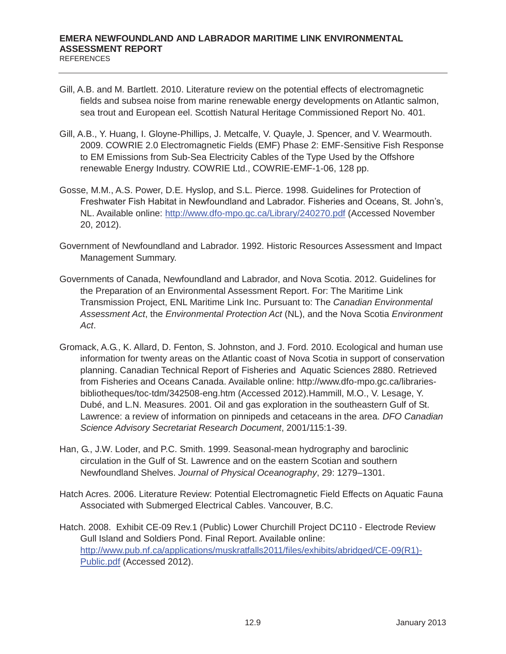- Gill, A.B. and M. Bartlett. 2010. Literature review on the potential effects of electromagnetic fields and subsea noise from marine renewable energy developments on Atlantic salmon, sea trout and European eel. Scottish Natural Heritage Commissioned Report No. 401.
- Gill, A.B., Y. Huang, I. Gloyne-Phillips, J. Metcalfe, V. Quayle, J. Spencer, and V. Wearmouth. 2009. COWRIE 2.0 Electromagnetic Fields (EMF) Phase 2: EMF-Sensitive Fish Response to EM Emissions from Sub-Sea Electricity Cables of the Type Used by the Offshore renewable Energy Industry. COWRIE Ltd., COWRIE-EMF-1-06, 128 pp.
- Gosse, M.M., A.S. Power, D.E. Hyslop, and S.L. Pierce. 1998. Guidelines for Protection of Freshwater Fish Habitat in Newfoundland and Labrador. Fisheries and Oceans, St. John's, NL. Available online: http://www.dfo-mpo.gc.ca/Library/240270.pdf (Accessed November 20, 2012).
- Government of Newfoundland and Labrador. 1992. Historic Resources Assessment and Impact Management Summary.
- Governments of Canada, Newfoundland and Labrador, and Nova Scotia. 2012. Guidelines for the Preparation of an Environmental Assessment Report. For: The Maritime Link Transmission Project, ENL Maritime Link Inc. Pursuant to: The *Canadian Environmental Assessment Act*, the *Environmental Protection Act* (NL), and the Nova Scotia *Environment Act*.
- Gromack, A.G., K. Allard, D. Fenton, S. Johnston, and J. Ford. 2010. Ecological and human use information for twenty areas on the Atlantic coast of Nova Scotia in support of conservation planning. Canadian Technical Report of Fisheries and Aquatic Sciences 2880. Retrieved from Fisheries and Oceans Canada. Available online: http://www.dfo-mpo.gc.ca/librariesbibliotheques/toc-tdm/342508-eng.htm (Accessed 2012).Hammill, M.O., V. Lesage, Y. Dubé, and L.N. Measures. 2001. Oil and gas exploration in the southeastern Gulf of St. Lawrence: a review of information on pinnipeds and cetaceans in the area. *DFO Canadian Science Advisory Secretariat Research Document*, 2001/115:1-39.
- Han, G., J.W. Loder, and P.C. Smith. 1999. Seasonal-mean hydrography and baroclinic circulation in the Gulf of St. Lawrence and on the eastern Scotian and southern Newfoundland Shelves. *Journal of Physical Oceanography*, 29: 1279–1301.
- Hatch Acres. 2006. Literature Review: Potential Electromagnetic Field Effects on Aquatic Fauna Associated with Submerged Electrical Cables. Vancouver, B.C.
- Hatch. 2008. Exhibit CE-09 Rev.1 (Public) Lower Churchill Project DC110 Electrode Review Gull Island and Soldiers Pond. Final Report. Available online: http://www.pub.nf.ca/applications/muskratfalls2011/files/exhibits/abridged/CE-09(R1)- Public.pdf (Accessed 2012).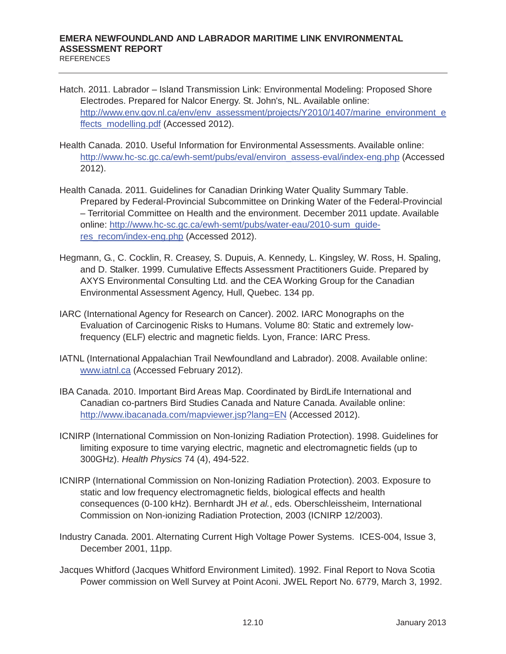- Hatch. 2011. Labrador Island Transmission Link: Environmental Modeling: Proposed Shore Electrodes. Prepared for Nalcor Energy. St. John's, NL. Available online: http://www.env.gov.nl.ca/env/env\_assessment/projects/Y2010/1407/marine\_environment\_e ffects\_modelling.pdf (Accessed 2012).
- Health Canada. 2010. Useful Information for Environmental Assessments. Available online: http://www.hc-sc.gc.ca/ewh-semt/pubs/eval/environ\_assess-eval/index-eng.php (Accessed 2012).
- Health Canada. 2011. Guidelines for Canadian Drinking Water Quality Summary Table. Prepared by Federal-Provincial Subcommittee on Drinking Water of the Federal-Provincial – Territorial Committee on Health and the environment. December 2011 update. Available online: http://www.hc-sc.gc.ca/ewh-semt/pubs/water-eau/2010-sum\_guideres\_recom/index-eng.php (Accessed 2012).
- Hegmann, G., C. Cocklin, R. Creasey, S. Dupuis, A. Kennedy, L. Kingsley, W. Ross, H. Spaling, and D. Stalker. 1999. Cumulative Effects Assessment Practitioners Guide. Prepared by AXYS Environmental Consulting Ltd. and the CEA Working Group for the Canadian Environmental Assessment Agency, Hull, Quebec. 134 pp.
- IARC (International Agency for Research on Cancer). 2002. IARC Monographs on the Evaluation of Carcinogenic Risks to Humans. Volume 80: Static and extremely lowfrequency (ELF) electric and magnetic fields. Lyon, France: IARC Press.
- IATNL (International Appalachian Trail Newfoundland and Labrador). 2008. Available online: www.iatnl.ca (Accessed February 2012).
- IBA Canada. 2010. Important Bird Areas Map. Coordinated by BirdLife International and Canadian co-partners Bird Studies Canada and Nature Canada. Available online: http://www.ibacanada.com/mapviewer.jsp?lang=EN (Accessed 2012).
- ICNIRP (International Commission on Non-Ionizing Radiation Protection). 1998. Guidelines for limiting exposure to time varying electric, magnetic and electromagnetic fields (up to 300GHz). *Health Physics* 74 (4), 494-522.
- ICNIRP (International Commission on Non-Ionizing Radiation Protection). 2003. Exposure to static and low frequency electromagnetic fields, biological effects and health consequences (0-100 kHz). Bernhardt JH *et al.*, eds. Oberschleissheim, International Commission on Non-ionizing Radiation Protection, 2003 (ICNIRP 12/2003).
- Industry Canada. 2001. Alternating Current High Voltage Power Systems. ICES-004, Issue 3, December 2001, 11pp.
- Jacques Whitford (Jacques Whitford Environment Limited). 1992. Final Report to Nova Scotia Power commission on Well Survey at Point Aconi. JWEL Report No. 6779, March 3, 1992.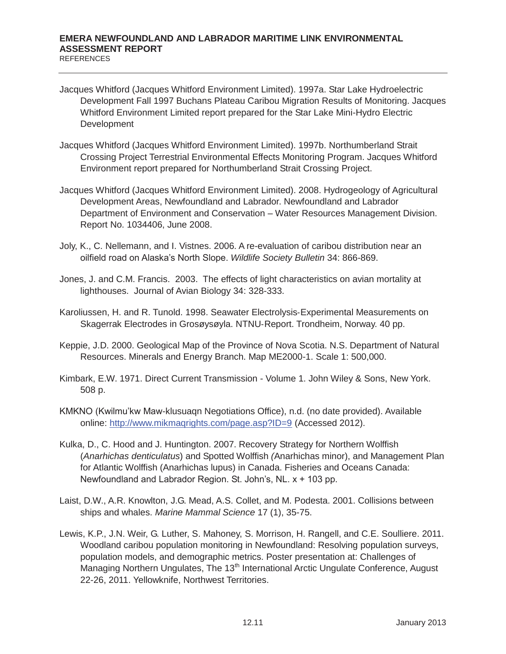- Jacques Whitford (Jacques Whitford Environment Limited). 1997a. Star Lake Hydroelectric Development Fall 1997 Buchans Plateau Caribou Migration Results of Monitoring. Jacques Whitford Environment Limited report prepared for the Star Lake Mini-Hydro Electric **Development**
- Jacques Whitford (Jacques Whitford Environment Limited). 1997b. Northumberland Strait Crossing Project Terrestrial Environmental Effects Monitoring Program. Jacques Whitford Environment report prepared for Northumberland Strait Crossing Project.
- Jacques Whitford (Jacques Whitford Environment Limited). 2008. Hydrogeology of Agricultural Development Areas, Newfoundland and Labrador. Newfoundland and Labrador Department of Environment and Conservation – Water Resources Management Division. Report No. 1034406, June 2008.
- Joly, K., C. Nellemann, and I. Vistnes. 2006. A re-evaluation of caribou distribution near an oilfield road on Alaska's North Slope. *Wildlife Society Bulletin* 34: 866-869.
- Jones, J. and C.M. Francis. 2003. The effects of light characteristics on avian mortality at lighthouses. Journal of Avian Biology 34: 328-333.
- Karoliussen, H. and R. Tunold. 1998. Seawater Electrolysis-Experimental Measurements on Skagerrak Electrodes in Grosøysøyla. NTNU-Report. Trondheim, Norway. 40 pp.
- Keppie, J.D. 2000. Geological Map of the Province of Nova Scotia. N.S. Department of Natural Resources. Minerals and Energy Branch. Map ME2000-1. Scale 1: 500,000.
- Kimbark, E.W. 1971. Direct Current Transmission Volume 1. John Wiley & Sons, New York. 508 p.
- KMKNO (Kwilmu'kw Maw-klusuaqn Negotiations Office), n.d. (no date provided). Available online: http://www.mikmaqrights.com/page.asp?ID=9 (Accessed 2012).
- Kulka, D., C. Hood and J. Huntington. 2007. Recovery Strategy for Northern Wolffish (*Anarhichas denticulatus*) and Spotted Wolffish *(*Anarhichas minor), and Management Plan for Atlantic Wolffish (Anarhichas lupus) in Canada. Fisheries and Oceans Canada: Newfoundland and Labrador Region. St. John's, NL. x + 103 pp.
- Laist, D.W., A.R. Knowlton, J.G. Mead, A.S. Collet, and M. Podesta. 2001. Collisions between ships and whales. *Marine Mammal Science* 17 (1), 35-75.
- Lewis, K.P., J.N. Weir, G. Luther, S. Mahoney, S. Morrison, H. Rangell, and C.E. Soulliere. 2011. Woodland caribou population monitoring in Newfoundland: Resolving population surveys, population models, and demographic metrics. Poster presentation at: Challenges of Managing Northern Ungulates, The 13<sup>th</sup> International Arctic Ungulate Conference, August 22-26, 2011. Yellowknife, Northwest Territories.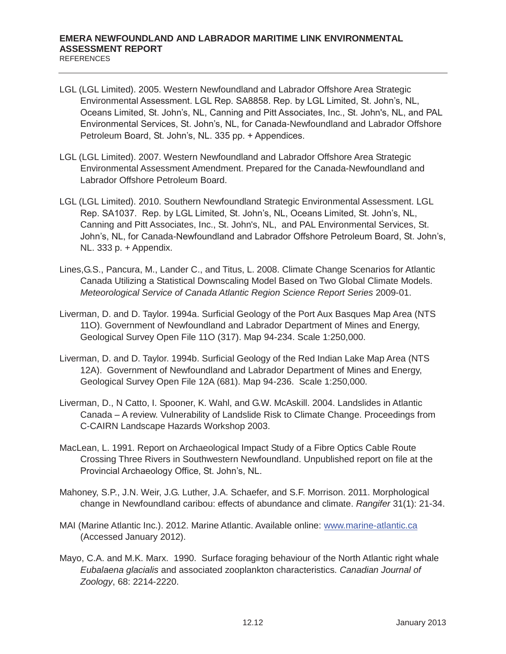- LGL (LGL Limited). 2005. Western Newfoundland and Labrador Offshore Area Strategic Environmental Assessment. LGL Rep. SA8858. Rep. by LGL Limited, St. John's, NL, Oceans Limited, St. John's, NL, Canning and Pitt Associates, Inc., St. John's, NL, and PAL Environmental Services, St. John's, NL, for Canada-Newfoundland and Labrador Offshore Petroleum Board, St. John's, NL. 335 pp. + Appendices.
- LGL (LGL Limited). 2007. Western Newfoundland and Labrador Offshore Area Strategic Environmental Assessment Amendment. Prepared for the Canada-Newfoundland and Labrador Offshore Petroleum Board.
- LGL (LGL Limited). 2010. Southern Newfoundland Strategic Environmental Assessment. LGL Rep. SA1037. Rep. by LGL Limited, St. John's, NL, Oceans Limited, St. John's, NL, Canning and Pitt Associates, Inc., St. John's, NL, and PAL Environmental Services, St. John's, NL, for Canada-Newfoundland and Labrador Offshore Petroleum Board, St. John's, NL. 333 p. + Appendix.
- Lines,G.S., Pancura, M., Lander C., and Titus, L. 2008. Climate Change Scenarios for Atlantic Canada Utilizing a Statistical Downscaling Model Based on Two Global Climate Models. *Meteorological Service of Canada Atlantic Region Science Report Series* 2009-01.
- Liverman, D. and D. Taylor. 1994a. Surficial Geology of the Port Aux Basques Map Area (NTS 11O). Government of Newfoundland and Labrador Department of Mines and Energy, Geological Survey Open File 11O (317). Map 94-234. Scale 1:250,000.
- Liverman, D. and D. Taylor. 1994b. Surficial Geology of the Red Indian Lake Map Area (NTS 12A). Government of Newfoundland and Labrador Department of Mines and Energy, Geological Survey Open File 12A (681). Map 94-236. Scale 1:250,000.
- Liverman, D., N Catto, I. Spooner, K. Wahl, and G.W. McAskill. 2004. Landslides in Atlantic Canada – A review. Vulnerability of Landslide Risk to Climate Change. Proceedings from C-CAIRN Landscape Hazards Workshop 2003.
- MacLean, L. 1991. Report on Archaeological Impact Study of a Fibre Optics Cable Route Crossing Three Rivers in Southwestern Newfoundland. Unpublished report on file at the Provincial Archaeology Office, St. John's, NL.
- Mahoney, S.P., J.N. Weir, J.G. Luther, J.A. Schaefer, and S.F. Morrison. 2011. Morphological change in Newfoundland caribou: effects of abundance and climate. *Rangifer* 31(1): 21-34.
- MAI (Marine Atlantic Inc.). 2012. Marine Atlantic. Available online: www.marine-atlantic.ca (Accessed January 2012).
- Mayo, C.A. and M.K. Marx. 1990. Surface foraging behaviour of the North Atlantic right whale *Eubalaena glacialis* and associated zooplankton characteristics. *Canadian Journal of Zoology*, 68: 2214-2220.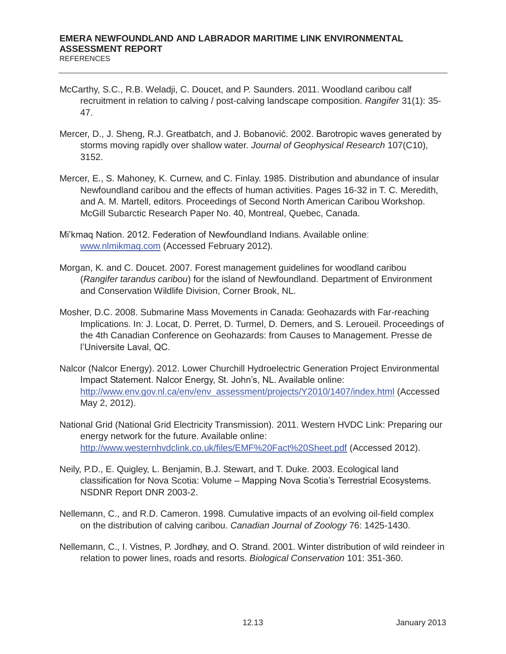- McCarthy, S.C., R.B. Weladji, C. Doucet, and P. Saunders. 2011. Woodland caribou calf recruitment in relation to calving / post-calving landscape composition. *Rangifer* 31(1): 35- 47.
- Mercer, D., J. Sheng, R.J. Greatbatch, and J. Bobanović. 2002. Barotropic waves generated by storms moving rapidly over shallow water. *Journal of Geophysical Research* 107(C10), 3152.
- Mercer, E., S. Mahoney, K. Curnew, and C. Finlay. 1985. Distribution and abundance of insular Newfoundland caribou and the effects of human activities. Pages 16-32 in T. C. Meredith, and A. M. Martell, editors. Proceedings of Second North American Caribou Workshop. McGill Subarctic Research Paper No. 40, Montreal, Quebec, Canada.
- Mi'kmaq Nation. 2012. Federation of Newfoundland Indians. Available online: www.nlmikmaq.com (Accessed February 2012).
- Morgan, K. and C. Doucet. 2007. Forest management guidelines for woodland caribou (*Rangifer tarandus caribou*) for the island of Newfoundland. Department of Environment and Conservation Wildlife Division, Corner Brook, NL.
- Mosher, D.C. 2008. Submarine Mass Movements in Canada: Geohazards with Far-reaching Implications. In: J. Locat, D. Perret, D. Turmel, D. Demers, and S. Leroueil. Proceedings of the 4th Canadian Conference on Geohazards: from Causes to Management. Presse de l'Universite Laval, QC.
- Nalcor (Nalcor Energy). 2012. Lower Churchill Hydroelectric Generation Project Environmental Impact Statement. Nalcor Energy, St. John's, NL. Available online: http://www.env.gov.nl.ca/env/env\_assessment/projects/Y2010/1407/index.html (Accessed May 2, 2012).
- National Grid (National Grid Electricity Transmission). 2011. Western HVDC Link: Preparing our energy network for the future. Available online: http://www.westernhvdclink.co.uk/files/EMF%20Fact%20Sheet.pdf (Accessed 2012).
- Neily, P.D., E. Quigley, L. Benjamin, B.J. Stewart, and T. Duke. 2003. Ecological land classification for Nova Scotia: Volume – Mapping Nova Scotia's Terrestrial Ecosystems. NSDNR Report DNR 2003-2.
- Nellemann, C., and R.D. Cameron. 1998. Cumulative impacts of an evolving oil-field complex on the distribution of calving caribou. *Canadian Journal of Zoology* 76: 1425-1430.
- Nellemann, C., I. Vistnes, P. Jordhøy, and O. Strand. 2001. Winter distribution of wild reindeer in relation to power lines, roads and resorts. *Biological Conservation* 101: 351-360.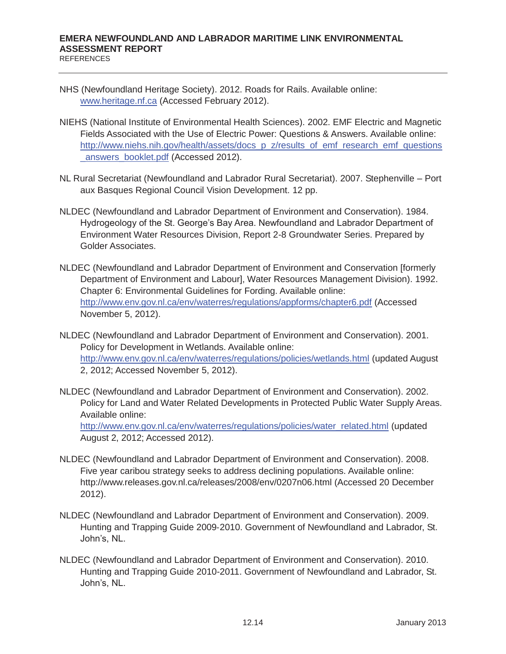- NHS (Newfoundland Heritage Society). 2012. Roads for Rails. Available online: www.heritage.nf.ca (Accessed February 2012).
- NIEHS (National Institute of Environmental Health Sciences). 2002. EMF Electric and Magnetic Fields Associated with the Use of Electric Power: Questions & Answers. Available online: http://www.niehs.nih.gov/health/assets/docs\_p\_z/results\_of\_emf\_research\_emf\_questions \_answers\_booklet.pdf (Accessed 2012).
- NL Rural Secretariat (Newfoundland and Labrador Rural Secretariat). 2007. Stephenville Port aux Basques Regional Council Vision Development. 12 pp.
- NLDEC (Newfoundland and Labrador Department of Environment and Conservation). 1984. Hydrogeology of the St. George's Bay Area. Newfoundland and Labrador Department of Environment Water Resources Division, Report 2-8 Groundwater Series. Prepared by Golder Associates.
- NLDEC (Newfoundland and Labrador Department of Environment and Conservation [formerly Department of Environment and Labour], Water Resources Management Division). 1992. Chapter 6: Environmental Guidelines for Fording. Available online: http://www.env.gov.nl.ca/env/waterres/regulations/appforms/chapter6.pdf (Accessed November 5, 2012).
- NLDEC (Newfoundland and Labrador Department of Environment and Conservation). 2001. Policy for Development in Wetlands. Available online: http://www.env.gov.nl.ca/env/waterres/regulations/policies/wetlands.html (updated August 2, 2012; Accessed November 5, 2012).
- NLDEC (Newfoundland and Labrador Department of Environment and Conservation). 2002. Policy for Land and Water Related Developments in Protected Public Water Supply Areas. Available online:

http://www.env.gov.nl.ca/env/waterres/regulations/policies/water\_related.html (updated August 2, 2012; Accessed 2012).

- NLDEC (Newfoundland and Labrador Department of Environment and Conservation). 2008. Five year caribou strategy seeks to address declining populations. Available online: http://www.releases.gov.nl.ca/releases/2008/env/0207n06.html (Accessed 20 December 2012).
- NLDEC (Newfoundland and Labrador Department of Environment and Conservation). 2009. Hunting and Trapping Guide 2009-2010. Government of Newfoundland and Labrador, St. John's, NL.
- NLDEC (Newfoundland and Labrador Department of Environment and Conservation). 2010. Hunting and Trapping Guide 2010-2011. Government of Newfoundland and Labrador, St. John's, NL.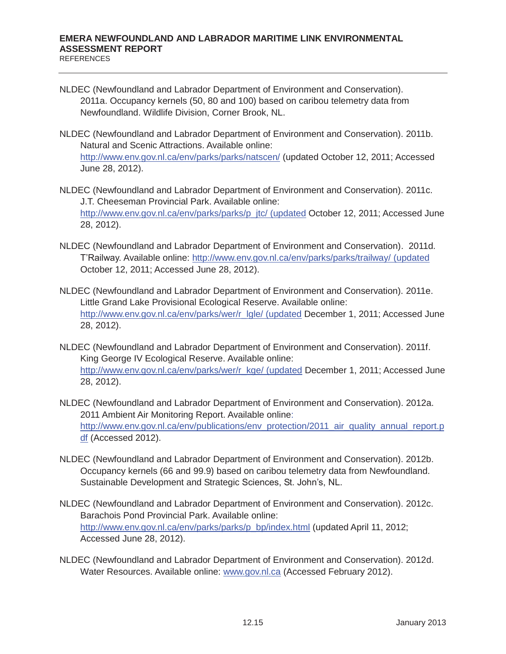- NLDEC (Newfoundland and Labrador Department of Environment and Conservation). 2011a. Occupancy kernels (50, 80 and 100) based on caribou telemetry data from Newfoundland. Wildlife Division, Corner Brook, NL.
- NLDEC (Newfoundland and Labrador Department of Environment and Conservation). 2011b. Natural and Scenic Attractions. Available online: http://www.env.gov.nl.ca/env/parks/parks/natscen/ (updated October 12, 2011; Accessed June 28, 2012).
- NLDEC (Newfoundland and Labrador Department of Environment and Conservation). 2011c. J.T. Cheeseman Provincial Park. Available online: http://www.env.gov.nl.ca/env/parks/parks/p\_jtc/ (updated October 12, 2011; Accessed June 28, 2012).
- NLDEC (Newfoundland and Labrador Department of Environment and Conservation). 2011d. T'Railway. Available online: http://www.env.gov.nl.ca/env/parks/parks/trailway/ (updated October 12, 2011; Accessed June 28, 2012).
- NLDEC (Newfoundland and Labrador Department of Environment and Conservation). 2011e. Little Grand Lake Provisional Ecological Reserve. Available online: http://www.env.gov.nl.ca/env/parks/wer/r\_lgle/ (updated December 1, 2011; Accessed June 28, 2012).
- NLDEC (Newfoundland and Labrador Department of Environment and Conservation). 2011f. King George IV Ecological Reserve. Available online: http://www.env.gov.nl.ca/env/parks/wer/r\_kge/ (updated December 1, 2011; Accessed June 28, 2012).
- NLDEC (Newfoundland and Labrador Department of Environment and Conservation). 2012a. 2011 Ambient Air Monitoring Report. Available online: http://www.env.gov.nl.ca/env/publications/env\_protection/2011\_air\_quality\_annual\_report.p df (Accessed 2012).
- NLDEC (Newfoundland and Labrador Department of Environment and Conservation). 2012b. Occupancy kernels (66 and 99.9) based on caribou telemetry data from Newfoundland. Sustainable Development and Strategic Sciences, St. John's, NL.
- NLDEC (Newfoundland and Labrador Department of Environment and Conservation). 2012c. Barachois Pond Provincial Park. Available online: http://www.env.gov.nl.ca/env/parks/parks/p\_bp/index.html (updated April 11, 2012; Accessed June 28, 2012).
- NLDEC (Newfoundland and Labrador Department of Environment and Conservation). 2012d. Water Resources. Available online: www.gov.nl.ca (Accessed February 2012).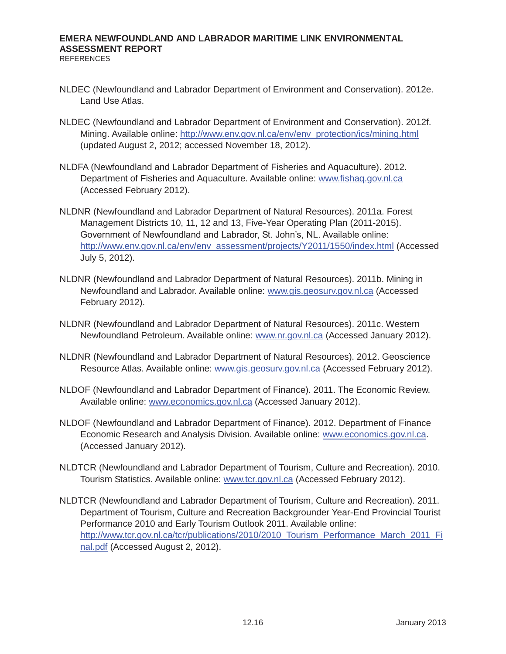- NLDEC (Newfoundland and Labrador Department of Environment and Conservation). 2012e. Land Use Atlas.
- NLDEC (Newfoundland and Labrador Department of Environment and Conservation). 2012f. Mining. Available online: http://www.env.gov.nl.ca/env/env\_protection/ics/mining.html (updated August 2, 2012; accessed November 18, 2012).
- NLDFA (Newfoundland and Labrador Department of Fisheries and Aquaculture). 2012. Department of Fisheries and Aquaculture. Available online: www.fishaq.gov.nl.ca (Accessed February 2012).
- NLDNR (Newfoundland and Labrador Department of Natural Resources). 2011a. Forest Management Districts 10, 11, 12 and 13, Five-Year Operating Plan (2011-2015). Government of Newfoundland and Labrador, St. John's, NL. Available online: http://www.env.gov.nl.ca/env/env\_assessment/projects/Y2011/1550/index.html (Accessed July 5, 2012).
- NLDNR (Newfoundland and Labrador Department of Natural Resources). 2011b. Mining in Newfoundland and Labrador. Available online: www.gis.geosurv.gov.nl.ca (Accessed February 2012).
- NLDNR (Newfoundland and Labrador Department of Natural Resources). 2011c. Western Newfoundland Petroleum. Available online: www.nr.gov.nl.ca (Accessed January 2012).
- NLDNR (Newfoundland and Labrador Department of Natural Resources). 2012. Geoscience Resource Atlas. Available online: www.gis.geosurv.gov.nl.ca (Accessed February 2012).
- NLDOF (Newfoundland and Labrador Department of Finance). 2011. The Economic Review. Available online: www.economics.gov.nl.ca (Accessed January 2012).
- NLDOF (Newfoundland and Labrador Department of Finance). 2012. Department of Finance Economic Research and Analysis Division. Available online: www.economics.gov.nl.ca. (Accessed January 2012).
- NLDTCR (Newfoundland and Labrador Department of Tourism, Culture and Recreation). 2010. Tourism Statistics. Available online: www.tcr.gov.nl.ca (Accessed February 2012).
- NLDTCR (Newfoundland and Labrador Department of Tourism, Culture and Recreation). 2011. Department of Tourism, Culture and Recreation Backgrounder Year-End Provincial Tourist Performance 2010 and Early Tourism Outlook 2011. Available online: http://www.tcr.gov.nl.ca/tcr/publications/2010/2010\_Tourism\_Performance\_March\_2011\_Fi nal.pdf (Accessed August 2, 2012).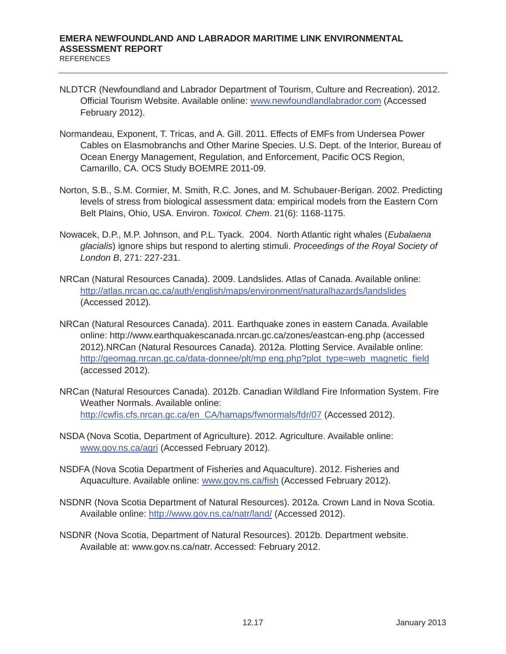- NLDTCR (Newfoundland and Labrador Department of Tourism, Culture and Recreation). 2012. Official Tourism Website. Available online: www.newfoundlandlabrador.com (Accessed February 2012).
- Normandeau, Exponent, T. Tricas, and A. Gill. 2011. Effects of EMFs from Undersea Power Cables on Elasmobranchs and Other Marine Species. U.S. Dept. of the Interior, Bureau of Ocean Energy Management, Regulation, and Enforcement, Pacific OCS Region, Camarillo, CA. OCS Study BOEMRE 2011-09.
- Norton, S.B., S.M. Cormier, M. Smith, R.C. Jones, and M. Schubauer-Berigan. 2002. Predicting levels of stress from biological assessment data: empirical models from the Eastern Corn Belt Plains, Ohio, USA. Environ. *Toxicol. Chem*. 21(6): 1168-1175.
- Nowacek, D.P., M.P. Johnson, and P.L. Tyack. 2004. North Atlantic right whales (*Eubalaena glacialis*) ignore ships but respond to alerting stimuli. *Proceedings of the Royal Society of London B*, 271: 227-231.
- NRCan (Natural Resources Canada). 2009. Landslides. Atlas of Canada. Available online: http://atlas.nrcan.gc.ca/auth/english/maps/environment/naturalhazards/landslides (Accessed 2012).
- NRCan (Natural Resources Canada). 2011. Earthquake zones in eastern Canada. Available online: http://www.earthquakescanada.nrcan.gc.ca/zones/eastcan-eng.php (accessed 2012).NRCan (Natural Resources Canada). 2012a. Plotting Service. Available online: http://geomag.nrcan.gc.ca/data-donnee/plt/mp eng.php?plot\_type=web\_magnetic\_field (accessed 2012).
- NRCan (Natural Resources Canada). 2012b. Canadian Wildland Fire Information System. Fire Weather Normals. Available online: http://cwfis.cfs.nrcan.gc.ca/en\_CA/hamaps/fwnormals/fdr/07 (Accessed 2012).
- NSDA (Nova Scotia, Department of Agriculture). 2012. Agriculture. Available online: www.gov.ns.ca/agri (Accessed February 2012).
- NSDFA (Nova Scotia Department of Fisheries and Aquaculture). 2012. Fisheries and Aquaculture. Available online: www.gov.ns.ca/fish (Accessed February 2012).
- NSDNR (Nova Scotia Department of Natural Resources). 2012a. Crown Land in Nova Scotia. Available online: http://www.gov.ns.ca/natr/land/ (Accessed 2012).
- NSDNR (Nova Scotia, Department of Natural Resources). 2012b. Department website. Available at: www.gov.ns.ca/natr. Accessed: February 2012.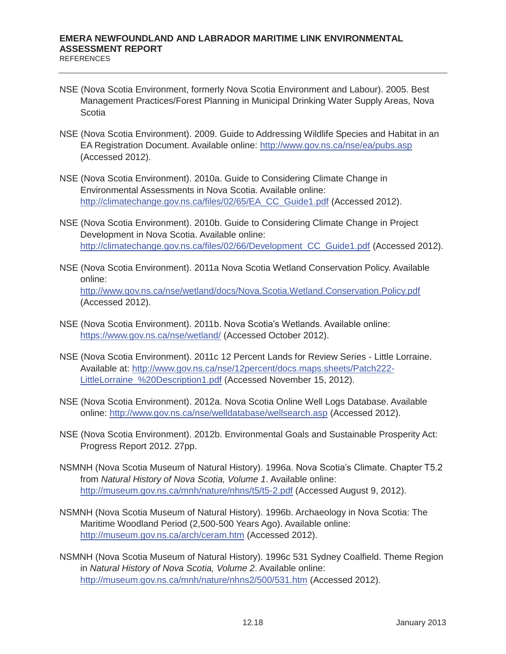- NSE (Nova Scotia Environment, formerly Nova Scotia Environment and Labour). 2005. Best Management Practices/Forest Planning in Municipal Drinking Water Supply Areas, Nova Scotia
- NSE (Nova Scotia Environment). 2009. Guide to Addressing Wildlife Species and Habitat in an EA Registration Document. Available online: http://www.gov.ns.ca/nse/ea/pubs.asp (Accessed 2012).
- NSE (Nova Scotia Environment). 2010a. Guide to Considering Climate Change in Environmental Assessments in Nova Scotia. Available online: http://climatechange.gov.ns.ca/files/02/65/EA\_CC\_Guide1.pdf (Accessed 2012).
- NSE (Nova Scotia Environment). 2010b. Guide to Considering Climate Change in Project Development in Nova Scotia. Available online: http://climatechange.gov.ns.ca/files/02/66/Development\_CC\_Guide1.pdf (Accessed 2012).
- NSE (Nova Scotia Environment). 2011a Nova Scotia Wetland Conservation Policy. Available online: http://www.gov.ns.ca/nse/wetland/docs/Nova.Scotia.Wetland.Conservation.Policy.pdf (Accessed 2012).
- NSE (Nova Scotia Environment). 2011b. Nova Scotia's Wetlands. Available online: https://www.gov.ns.ca/nse/wetland/ (Accessed October 2012).
- NSE (Nova Scotia Environment). 2011c 12 Percent Lands for Review Series Little Lorraine. Available at: http://www.gov.ns.ca/nse/12percent/docs.maps.sheets/Patch222- LittleLorraine\_%20Description1.pdf (Accessed November 15, 2012).
- NSE (Nova Scotia Environment). 2012a. Nova Scotia Online Well Logs Database. Available online: http://www.gov.ns.ca/nse/welldatabase/wellsearch.asp (Accessed 2012).
- NSE (Nova Scotia Environment). 2012b. Environmental Goals and Sustainable Prosperity Act: Progress Report 2012. 27pp.
- NSMNH (Nova Scotia Museum of Natural History). 1996a. Nova Scotia's Climate. Chapter T5.2 from *Natural History of Nova Scotia, Volume 1*. Available online: http://museum.gov.ns.ca/mnh/nature/nhns/t5/t5-2.pdf (Accessed August 9, 2012).
- NSMNH (Nova Scotia Museum of Natural History). 1996b. Archaeology in Nova Scotia: The Maritime Woodland Period (2,500-500 Years Ago). Available online: http://museum.gov.ns.ca/arch/ceram.htm (Accessed 2012).
- NSMNH (Nova Scotia Museum of Natural History). 1996c 531 Sydney Coalfield. Theme Region in *Natural History of Nova Scotia, Volume 2*. Available online: http://museum.gov.ns.ca/mnh/nature/nhns2/500/531.htm (Accessed 2012).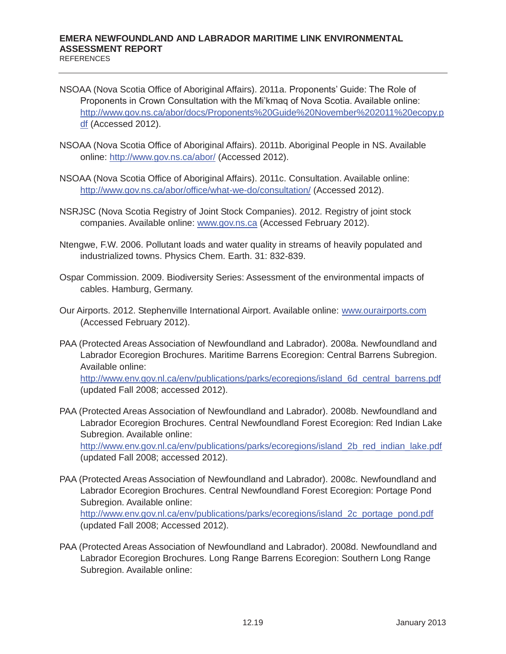- NSOAA (Nova Scotia Office of Aboriginal Affairs). 2011a. Proponents' Guide: The Role of Proponents in Crown Consultation with the Mi'kmaq of Nova Scotia. Available online: http://www.gov.ns.ca/abor/docs/Proponents%20Guide%20November%202011%20ecopy.p df (Accessed 2012).
- NSOAA (Nova Scotia Office of Aboriginal Affairs). 2011b. Aboriginal People in NS. Available online: http://www.gov.ns.ca/abor/ (Accessed 2012).
- NSOAA (Nova Scotia Office of Aboriginal Affairs). 2011c. Consultation. Available online: http://www.gov.ns.ca/abor/office/what-we-do/consultation/ (Accessed 2012).
- NSRJSC (Nova Scotia Registry of Joint Stock Companies). 2012. Registry of joint stock companies. Available online: www.gov.ns.ca (Accessed February 2012).
- Ntengwe, F.W. 2006. Pollutant loads and water quality in streams of heavily populated and industrialized towns. Physics Chem. Earth. 31: 832-839.
- Ospar Commission. 2009. Biodiversity Series: Assessment of the environmental impacts of cables. Hamburg, Germany.
- Our Airports. 2012. Stephenville International Airport. Available online: www.ourairports.com (Accessed February 2012).
- PAA (Protected Areas Association of Newfoundland and Labrador). 2008a. Newfoundland and Labrador Ecoregion Brochures. Maritime Barrens Ecoregion: Central Barrens Subregion. Available online: http://www.env.gov.nl.ca/env/publications/parks/ecoregions/island\_6d\_central\_barrens.pdf (updated Fall 2008; accessed 2012).
- PAA (Protected Areas Association of Newfoundland and Labrador). 2008b. Newfoundland and Labrador Ecoregion Brochures. Central Newfoundland Forest Ecoregion: Red Indian Lake Subregion. Available online: http://www.env.gov.nl.ca/env/publications/parks/ecoregions/island\_2b\_red\_indian\_lake.pdf (updated Fall 2008; accessed 2012).
- PAA (Protected Areas Association of Newfoundland and Labrador). 2008c. Newfoundland and Labrador Ecoregion Brochures. Central Newfoundland Forest Ecoregion: Portage Pond Subregion. Available online: http://www.env.gov.nl.ca/env/publications/parks/ecoregions/island\_2c\_portage\_pond.pdf (updated Fall 2008; Accessed 2012).
- PAA (Protected Areas Association of Newfoundland and Labrador). 2008d. Newfoundland and Labrador Ecoregion Brochures. Long Range Barrens Ecoregion: Southern Long Range Subregion. Available online: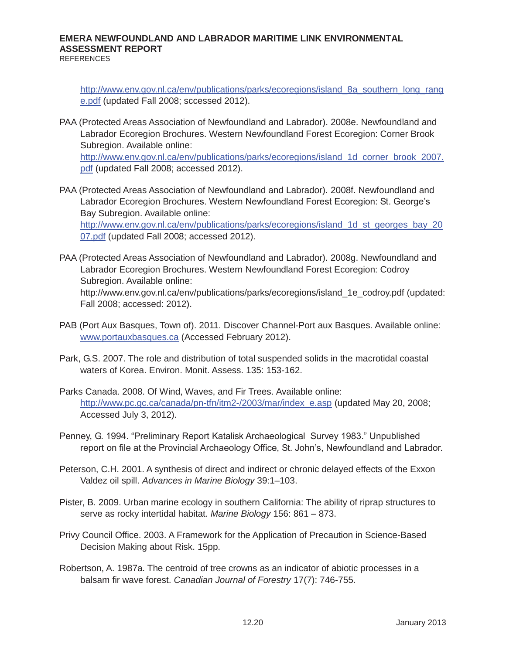http://www.env.gov.nl.ca/env/publications/parks/ecoregions/island 8a southern long rang e.pdf (updated Fall 2008; sccessed 2012).

- PAA (Protected Areas Association of Newfoundland and Labrador). 2008e. Newfoundland and Labrador Ecoregion Brochures. Western Newfoundland Forest Ecoregion: Corner Brook Subregion. Available online: http://www.env.gov.nl.ca/env/publications/parks/ecoregions/island\_1d\_corner\_brook\_2007. pdf (updated Fall 2008; accessed 2012).
- PAA (Protected Areas Association of Newfoundland and Labrador). 2008f. Newfoundland and Labrador Ecoregion Brochures. Western Newfoundland Forest Ecoregion: St. George's Bay Subregion. Available online: http://www.env.gov.nl.ca/env/publications/parks/ecoregions/island\_1d\_st\_georges\_bay\_20 07.pdf (updated Fall 2008; accessed 2012).
- PAA (Protected Areas Association of Newfoundland and Labrador). 2008g. Newfoundland and Labrador Ecoregion Brochures. Western Newfoundland Forest Ecoregion: Codroy Subregion. Available online: http://www.env.gov.nl.ca/env/publications/parks/ecoregions/island\_1e\_codroy.pdf (updated: Fall 2008; accessed: 2012).
- PAB (Port Aux Basques, Town of). 2011. Discover Channel-Port aux Basques. Available online: www.portauxbasques.ca (Accessed February 2012).
- Park, G.S. 2007. The role and distribution of total suspended solids in the macrotidal coastal waters of Korea. Environ. Monit. Assess. 135: 153-162.
- Parks Canada. 2008. Of Wind, Waves, and Fir Trees. Available online: http://www.pc.gc.ca/canada/pn-tfn/itm2-/2003/mar/index\_e.asp (updated May 20, 2008; Accessed July 3, 2012).
- Penney, G. 1994. "Preliminary Report Katalisk Archaeological Survey 1983." Unpublished report on file at the Provincial Archaeology Office, St. John's, Newfoundland and Labrador.
- Peterson, C.H. 2001. A synthesis of direct and indirect or chronic delayed effects of the Exxon Valdez oil spill. *Advances in Marine Biology* 39:1–103.
- Pister, B. 2009. Urban marine ecology in southern California: The ability of riprap structures to serve as rocky intertidal habitat. *Marine Biology* 156: 861 – 873.
- Privy Council Office. 2003. A Framework for the Application of Precaution in Science-Based Decision Making about Risk. 15pp.
- Robertson, A. 1987a. The centroid of tree crowns as an indicator of abiotic processes in a balsam fir wave forest. *Canadian Journal of Forestry* 17(7): 746-755.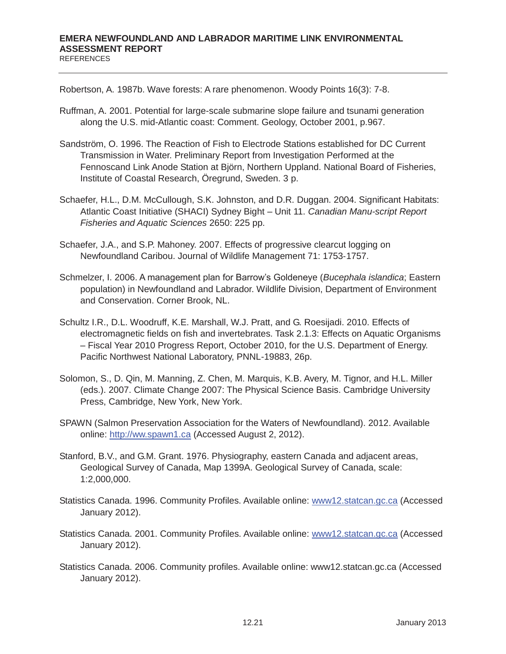Robertson, A. 1987b. Wave forests: A rare phenomenon. Woody Points 16(3): 7-8.

- Ruffman, A. 2001. Potential for large-scale submarine slope failure and tsunami generation along the U.S. mid-Atlantic coast: Comment. Geology, October 2001, p.967.
- Sandström, O. 1996. The Reaction of Fish to Electrode Stations established for DC Current Transmission in Water. Preliminary Report from Investigation Performed at the Fennoscand Link Anode Station at Björn, Northern Uppland. National Board of Fisheries, Institute of Coastal Research, Öregrund, Sweden. 3 p.
- Schaefer, H.L., D.M. McCullough, S.K. Johnston, and D.R. Duggan. 2004. Significant Habitats: Atlantic Coast Initiative (SHACI) Sydney Bight – Unit 11. *Canadian Manu-script Report Fisheries and Aquatic Sciences* 2650: 225 pp.
- Schaefer, J.A., and S.P. Mahoney. 2007. Effects of progressive clearcut logging on Newfoundland Caribou. Journal of Wildlife Management 71: 1753-1757.
- Schmelzer, I. 2006. A management plan for Barrow's Goldeneye (*Bucephala islandica*; Eastern population) in Newfoundland and Labrador. Wildlife Division, Department of Environment and Conservation. Corner Brook, NL.
- Schultz I.R., D.L. Woodruff, K.E. Marshall, W.J. Pratt, and G. Roesijadi. 2010. Effects of electromagnetic fields on fish and invertebrates. Task 2.1.3: Effects on Aquatic Organisms – Fiscal Year 2010 Progress Report, October 2010, for the U.S. Department of Energy. Pacific Northwest National Laboratory, PNNL-19883, 26p.
- Solomon, S., D. Qin, M. Manning, Z. Chen, M. Marquis, K.B. Avery, M. Tignor, and H.L. Miller (eds.). 2007. Climate Change 2007: The Physical Science Basis. Cambridge University Press, Cambridge, New York, New York.
- SPAWN (Salmon Preservation Association for the Waters of Newfoundland). 2012. Available online: http://ww.spawn1.ca (Accessed August 2, 2012).
- Stanford, B.V., and G.M. Grant. 1976. Physiography, eastern Canada and adjacent areas, Geological Survey of Canada, Map 1399A. Geological Survey of Canada, scale: 1:2,000,000.
- Statistics Canada. 1996. Community Profiles. Available online: www12.statcan.gc.ca (Accessed January 2012).
- Statistics Canada. 2001. Community Profiles. Available online: www12.statcan.gc.ca (Accessed January 2012).
- Statistics Canada. 2006. Community profiles. Available online: www12.statcan.gc.ca (Accessed January 2012).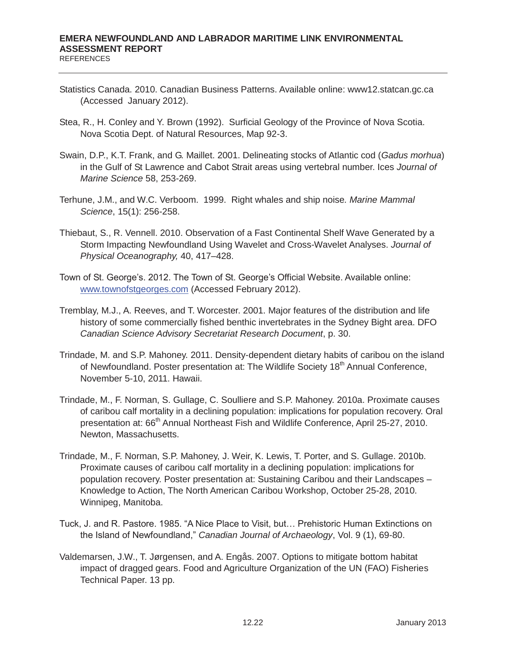- Statistics Canada. 2010. Canadian Business Patterns. Available online: www12.statcan.gc.ca (Accessed January 2012).
- Stea, R., H. Conley and Y. Brown (1992). Surficial Geology of the Province of Nova Scotia. Nova Scotia Dept. of Natural Resources, Map 92-3.
- Swain, D.P., K.T. Frank, and G. Maillet. 2001. Delineating stocks of Atlantic cod (*Gadus morhua*) in the Gulf of St Lawrence and Cabot Strait areas using vertebral number. Ices *Journal of Marine Science* 58, 253-269.
- Terhune, J.M., and W.C. Verboom. 1999. Right whales and ship noise*. Marine Mammal Science*, 15(1): 256-258.
- Thiebaut, S., R. Vennell. 2010. Observation of a Fast Continental Shelf Wave Generated by a Storm Impacting Newfoundland Using Wavelet and Cross-Wavelet Analyses. *Journal of Physical Oceanography,* 40, 417–428.
- Town of St. George's. 2012. The Town of St. George's Official Website. Available online: www.townofstgeorges.com (Accessed February 2012).
- Tremblay, M.J., A. Reeves, and T. Worcester. 2001. Major features of the distribution and life history of some commercially fished benthic invertebrates in the Sydney Bight area. DFO *Canadian Science Advisory Secretariat Research Document*, p. 30.
- Trindade, M. and S.P. Mahoney. 2011. Density-dependent dietary habits of caribou on the island of Newfoundland. Poster presentation at: The Wildlife Society 18<sup>th</sup> Annual Conference, November 5-10, 2011. Hawaii.
- Trindade, M., F. Norman, S. Gullage, C. Soulliere and S.P. Mahoney. 2010a. Proximate causes of caribou calf mortality in a declining population: implications for population recovery. Oral presentation at: 66<sup>th</sup> Annual Northeast Fish and Wildlife Conference, April 25-27, 2010. Newton, Massachusetts.
- Trindade, M., F. Norman, S.P. Mahoney, J. Weir, K. Lewis, T. Porter, and S. Gullage. 2010b. Proximate causes of caribou calf mortality in a declining population: implications for population recovery. Poster presentation at: Sustaining Caribou and their Landscapes – Knowledge to Action, The North American Caribou Workshop, October 25-28, 2010. Winnipeg, Manitoba.
- Tuck, J. and R. Pastore. 1985. "A Nice Place to Visit, but… Prehistoric Human Extinctions on the Island of Newfoundland," *Canadian Journal of Archaeology*, Vol. 9 (1), 69-80.
- Valdemarsen, J.W., T. Jørgensen, and A. Engås. 2007. Options to mitigate bottom habitat impact of dragged gears. Food and Agriculture Organization of the UN (FAO) Fisheries Technical Paper. 13 pp.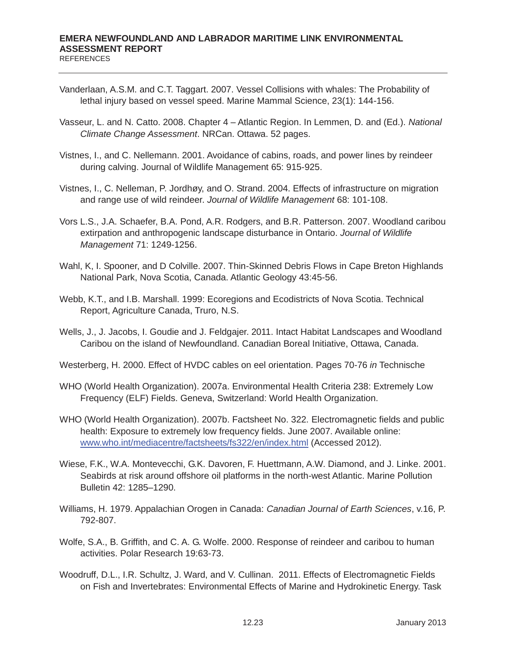- Vanderlaan, A.S.M. and C.T. Taggart. 2007. Vessel Collisions with whales: The Probability of lethal injury based on vessel speed. Marine Mammal Science, 23(1): 144-156.
- Vasseur, L. and N. Catto. 2008. Chapter 4 Atlantic Region. In Lemmen, D. and (Ed.). *National Climate Change Assessment*. NRCan. Ottawa. 52 pages.
- Vistnes, I., and C. Nellemann. 2001. Avoidance of cabins, roads, and power lines by reindeer during calving. Journal of Wildlife Management 65: 915-925.
- Vistnes, I., C. Nelleman, P. Jordhøy, and O. Strand. 2004. Effects of infrastructure on migration and range use of wild reindeer. *Journal of Wildlife Management* 68: 101-108.
- Vors L.S., J.A. Schaefer, B.A. Pond, A.R. Rodgers, and B.R. Patterson. 2007. Woodland caribou extirpation and anthropogenic landscape disturbance in Ontario. *Journal of Wildlife Management* 71: 1249-1256.
- Wahl, K, I. Spooner, and D Colville. 2007. Thin-Skinned Debris Flows in Cape Breton Highlands National Park, Nova Scotia, Canada. Atlantic Geology 43:45-56.
- Webb, K.T., and I.B. Marshall. 1999: Ecoregions and Ecodistricts of Nova Scotia. Technical Report, Agriculture Canada, Truro, N.S.
- Wells, J., J. Jacobs, I. Goudie and J. Feldgajer. 2011. Intact Habitat Landscapes and Woodland Caribou on the island of Newfoundland. Canadian Boreal Initiative, Ottawa, Canada.
- Westerberg, H. 2000. Effect of HVDC cables on eel orientation. Pages 70-76 *in* Technische
- WHO (World Health Organization). 2007a. Environmental Health Criteria 238: Extremely Low Frequency (ELF) Fields. Geneva, Switzerland: World Health Organization.
- WHO (World Health Organization). 2007b. Factsheet No. 322. Electromagnetic fields and public health: Exposure to extremely low frequency fields. June 2007. Available online: www.who.int/mediacentre/factsheets/fs322/en/index.html (Accessed 2012).
- Wiese, F.K., W.A. Montevecchi, G.K. Davoren, F. Huettmann, A.W. Diamond, and J. Linke. 2001. Seabirds at risk around offshore oil platforms in the north-west Atlantic. Marine Pollution Bulletin 42: 1285–1290.
- Williams, H. 1979. Appalachian Orogen in Canada: *Canadian Journal of Earth Sciences*, v.16, P. 792-807.
- Wolfe, S.A., B. Griffith, and C. A. G. Wolfe. 2000. Response of reindeer and caribou to human activities. Polar Research 19:63-73.
- Woodruff, D.L., I.R. Schultz, J. Ward, and V. Cullinan. 2011. Effects of Electromagnetic Fields on Fish and Invertebrates: Environmental Effects of Marine and Hydrokinetic Energy. Task